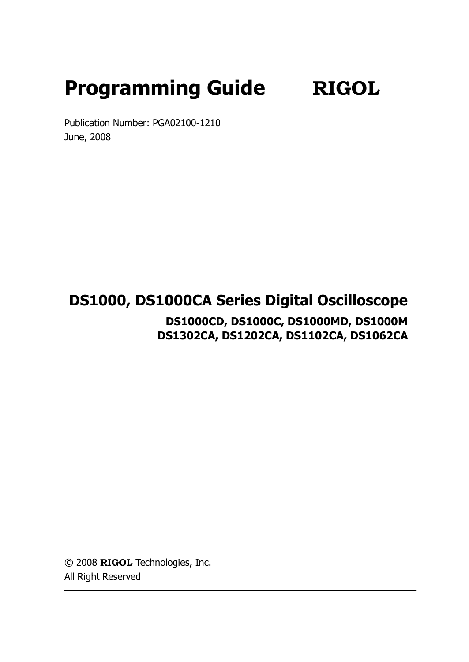# **Programming Guide RIGOL**

Publication Number: PGA02100-1210 June, 2008

## **DS1000, DS1000CA Series Digital Oscilloscope**

**DS1000CD, DS1000C, DS1000MD, DS1000M DS1302CA, DS1202CA, DS1102CA, DS1062CA**

© 2008 **RIGOL** Technologies, Inc. All Right Reserved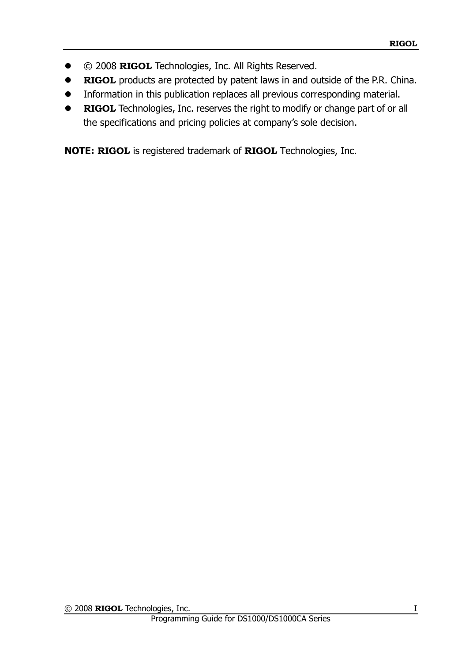- © 2008 **RIGOL** Technologies, Inc. All Rights Reserved.
- **RIGOL** products are protected by patent laws in and outside of the P.R. China.
- Information in this publication replaces all previous corresponding material.
- **RIGOL** Technologies, Inc. reserves the right to modify or change part of or all the specifications and pricing policies at company's sole decision.

**NOTE: RIGOL** is registered trademark of **RIGOL** Technologies, Inc.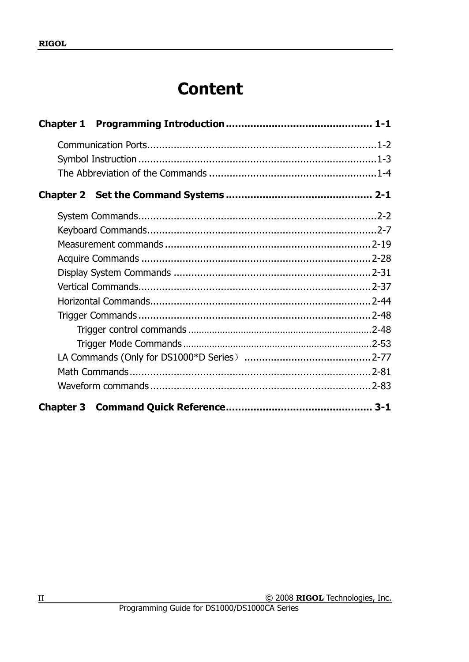## **Content**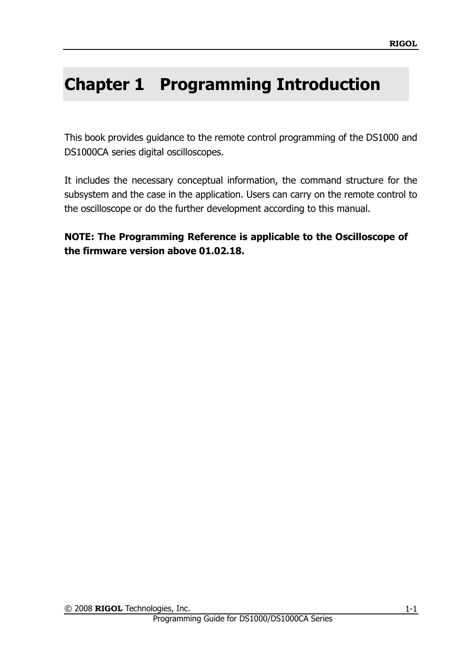## <span id="page-4-0"></span>**Chapter 1 Programming Introduction**

This book provides guidance to the remote control programming of the DS1000 and DS1000CA series digital oscilloscopes.

It includes the necessary conceptual information, the command structure for the subsystem and the case in the application. Users can carry on the remote control to the oscilloscope or do the further development according to this manual.

**NOTE: The Programming Reference is applicable to the Oscilloscope of the firmware version above 01.02.18.**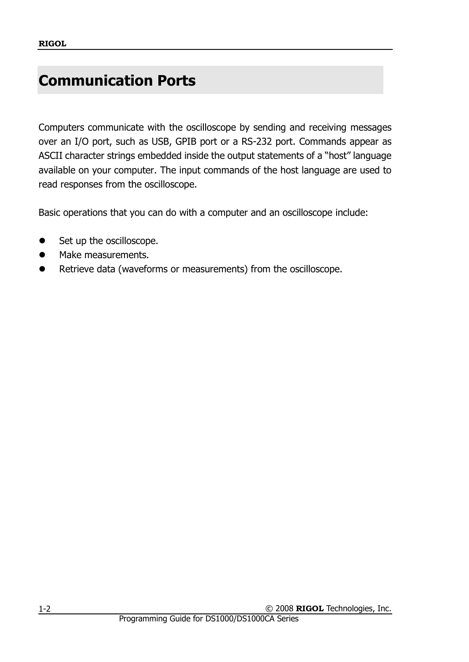## <span id="page-5-0"></span>**Communication Ports**

Computers communicate with the oscilloscope by sending and receiving messages over an I/O port, such as USB, GPIB port or a RS-232 port. Commands appear as ASCII character strings embedded inside the output statements of a "host" language available on your computer. The input commands of the host language are used to read responses from the oscilloscope.

Basic operations that you can do with a computer and an oscilloscope include:

- Set up the oscilloscope.
- Make measurements.
- Retrieve data (waveforms or measurements) from the oscilloscope.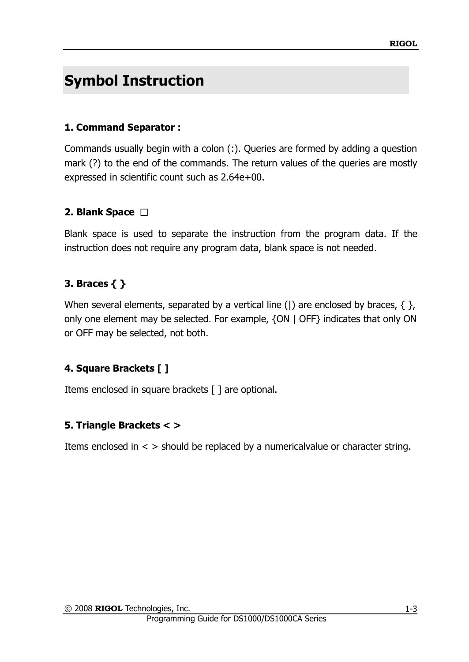## <span id="page-6-0"></span>**Symbol Instruction**

## **1. Command Separator :**

Commands usually begin with a colon (:). Queries are formed by adding a question mark (?) to the end of the commands. The return values of the queries are mostly expressed in scientific count such as 2.64e+00.

## **2. Blank Space** □

Blank space is used to separate the instruction from the program data. If the instruction does not require any program data, blank space is not needed.

## **3. Braces { }**

When several elements, separated by a vertical line (|) are enclosed by braces,  $\{\}$ , only one element may be selected. For example, {ON | OFF} indicates that only ON or OFF may be selected, not both.

## **4. Square Brackets [ ]**

Items enclosed in square brackets [ ] are optional.

## **5. Triangle Brackets < >**

Items enclosed in  $\lt$  > should be replaced by a numerical value or character string.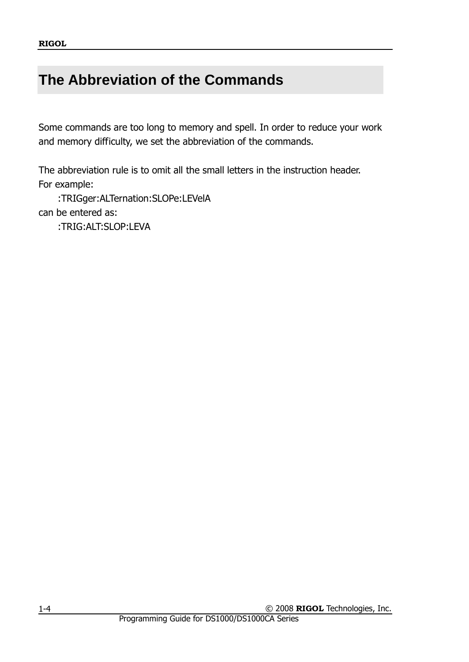## <span id="page-7-0"></span>**The Abbreviation of the Commands**

Some commands are too long to memory and spell. In order to reduce your work and memory difficulty, we set the abbreviation of the commands.

The abbreviation rule is to omit all the small letters in the instruction header. For example:

:TRIGger:ALTernation:SLOPe:LEVelA can be entered as:

:TRIG:ALT:SLOP:LEVA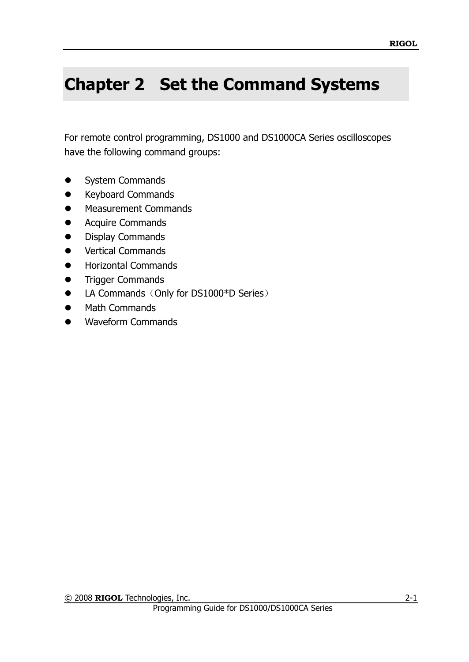## <span id="page-8-0"></span>**Chapter 2 Set the Command Systems**

For remote control programming, DS1000 and DS1000CA Series oscilloscopes have the following command groups:

- System Commands
- **•** Keyboard Commands
- **•** Measurement Commands
- **Acquire Commands**
- **•** Display Commands
- **•** Vertical Commands
- Horizontal Commands
- **Trigger Commands**
- LA Commands (Only for DS1000\*D Series)
- Math Commands
- Waveform Commands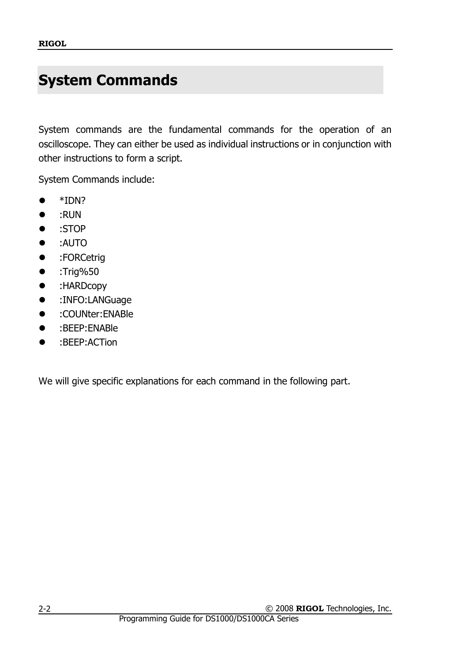## <span id="page-9-0"></span>**System Commands**

System commands are the fundamental commands for the operation of an oscilloscope. They can either be used as individual instructions or in conjunction with other instructions to form a script.

System Commands include:

- \*IDN?
- :RUN
- :STOP
- :AUTO
- :FORCetrig
- :Trig%50
- :HARDcopy
- :INFO:LANGuage
- :COUNter:ENABle
- :BEEP:ENABle
- :BEEP:ACTion

We will give specific explanations for each command in the following part.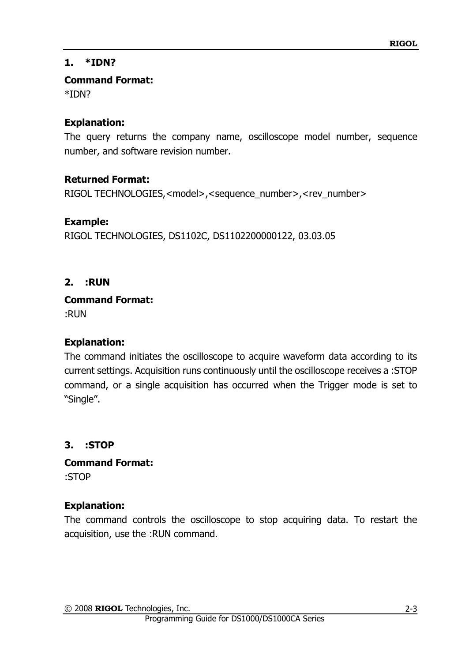## **1. \*IDN?**

**Command Format:**

\*IDN?

## **Explanation:**

The query returns the company name, oscilloscope model number, sequence number, and software revision number.

## **Returned Format:**

RIGOL TECHNOLOGIES,<model>,<sequence\_number>,<rev\_number>

## **Example:**

RIGOL TECHNOLOGIES, DS1102C, DS1102200000122, 03.03.05

## **2. :RUN**

**Command Format:**

:RUN

## **Explanation:**

The command initiates the oscilloscope to acquire waveform data according to its current settings. Acquisition runs continuously until the oscilloscope receives a :STOP command, or a single acquisition has occurred when the Trigger mode is set to "Single".

## **3. :STOP**

**Command Format:** :STOP

## **Explanation:**

The command controls the oscilloscope to stop acquiring data. To restart the acquisition, use the :RUN command.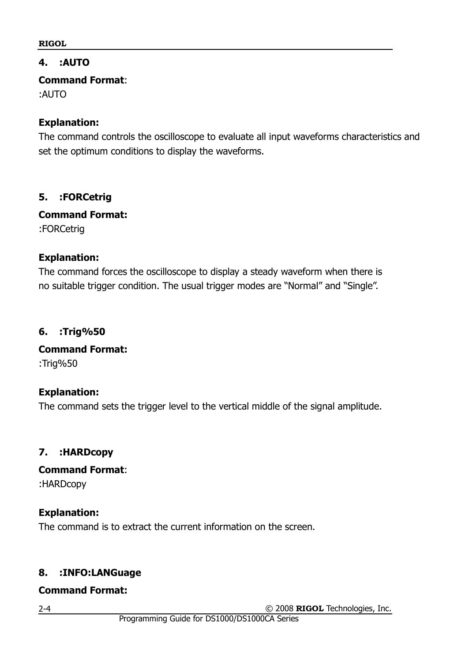#### **4. :AUTO**

**Command Format**:

:AUTO

#### **Explanation:**

The command controls the oscilloscope to evaluate all input waveforms characteristics and set the optimum conditions to display the waveforms.

#### **5. :FORCetrig**

**Command Format:** :FORCetrig

#### **Explanation:**

The command forces the oscilloscope to display a steady waveform when there is no suitable trigger condition. The usual trigger modes are "Normal" and "Single".

#### **6. :Trig%50**

**Command Format:** :Trig%50

## **Explanation:**

The command sets the trigger level to the vertical middle of the signal amplitude.

## **7. :HARDcopy**

**Command Format**:

:HARDcopy

#### **Explanation:**

The command is to extract the current information on the screen.

## **8. :INFO:LANGuage**

#### **Command Format:**

2-4

© 2008 **RIGOL** Technologies, Inc.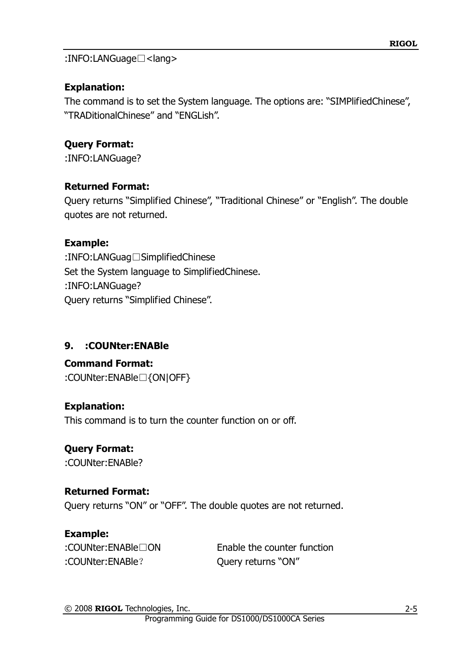:INFO:LANGuage□<lang>

## **Explanation:**

The command is to set the System language. The options are: "SIMPlifiedChinese", "TRADitionalChinese" and "ENGLish".

## **Query Format:**

:INFO:LANGuage?

## **Returned Format:**

Query returns "Simplified Chinese", "Traditional Chinese" or "English". The double quotes are not returned.

## **Example:**

:INFO:LANGuag□SimplifiedChinese Set the System language to SimplifiedChinese. :INFO:LANGuage? Query returns "Simplified Chinese".

## **9. :COUNter:ENABle**

#### **Command Format:** :COUNter:ENABle□{ON|OFF}

## **Explanation:**

This command is to turn the counter function on or off.

## **Query Format:**

:COUNter:ENABle?

## **Returned Format:**

Query returns "ON" or "OFF". The double quotes are not returned.

## **Example:**

:COUNter:ENABle? Query returns "ON"

:COUNter:ENABle□ON Enable the counter function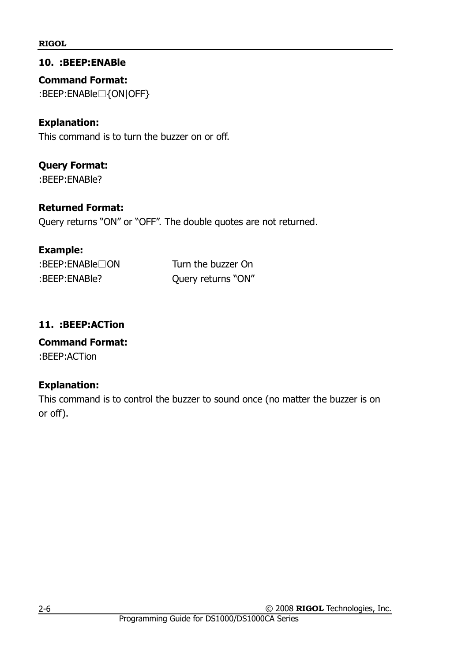#### **10. :BEEP:ENABle**

**Command Format:** :BEEP:ENABle□{ON|OFF}

#### **Explanation:**

This command is to turn the buzzer on or off.

## **Query Format:**

:BEEP:ENABle?

#### **Returned Format:**

Query returns "ON" or "OFF". The double quotes are not returned.

#### **Example:**

| BEEP:ENABLE   |  |
|---------------|--|
| :BEEP:ENABle? |  |

Turn the buzzer On Query returns "ON"

#### **11. :BEEP:ACTion**

## **Command Format:**

:BEEP:ACTion

#### **Explanation:**

This command is to control the buzzer to sound once (no matter the buzzer is on or off).

© 2008 **RIGOL** Technologies, Inc.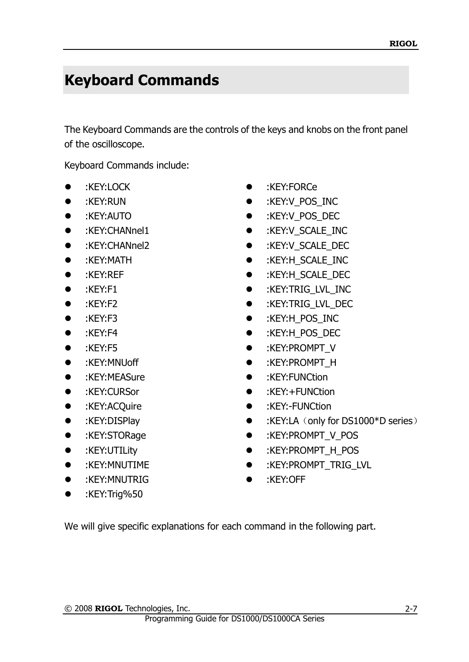## <span id="page-14-0"></span>**Keyboard Commands**

The Keyboard Commands are the controls of the keys and knobs on the front panel of the oscilloscope.

Keyboard Commands include:

- 
- 
- 
- 
- 
- 
- 
- 
- 
- 
- 
- 
- 
- 
- 
- 
- 
- 
- 
- 
- :KEY:MNUTRIG :KEY:OFF
- :KEY:Trig%50
- :KEY:LOCK :KEY:FORCe
- :KEY:RUN :KEY:V\_POS\_INC
- :KEY:AUTO :KEY:V\_POS\_DEC
- :KEY:CHANnel1 :KEY:V\_SCALE\_INC
- :KEY:CHANnel2 :KEY:V\_SCALE\_DEC
- :KEY:MATH :KEY:H\_SCALE\_INC
	- :KEY:REF :KEY:H\_SCALE\_DEC
	- :KEY:F1 :KEY:TRIG\_LVL\_INC
	- :KEY:F2 :KEY:TRIG\_LVL\_DEC
	- :KEY:F3 :KEY:H\_POS\_INC
	- :KEY:F4 :KEY:H\_POS\_DEC
- :KEY:F5 :KEY:PROMPT\_V
	- :KEY:MNUoff :KEY:PROMPT\_H
	- :KEY:MEASure :KEY:FUNCtion
- :KEY:CURSor :KEY:+FUNCtion
- :KEY:ACQuire :KEY:-FUNCtion
- :KEY:DISPlay :KEY:LA(only for DS1000\*D series)
- :KEY:STORage :KEY:PROMPT\_V\_POS
- :KEY:UTILity :KEY:PROMPT\_H\_POS
	- :KEY:MNUTIME :KEY:PROMPT\_TRIG\_LVL
		-

We will give specific explanations for each command in the following part.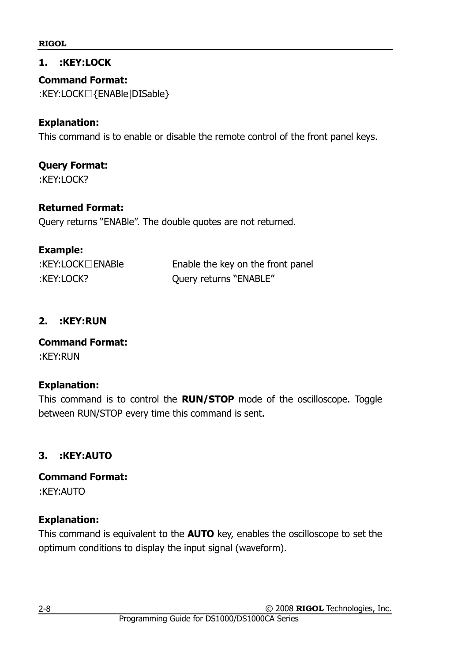#### **1. :KEY:LOCK**

**Command Format:** :KEY:LOCK□{ENABle|DISable}

#### **Explanation:**

This command is to enable or disable the remote control of the front panel keys.

## **Query Format:**

:KEY:LOCK?

#### **Returned Format:**

Query returns "ENABle". The double quotes are not returned.

#### **Example:**

| :KEY:LOCK□ENABle |  |
|------------------|--|
| :KEY:LOCK?       |  |

Enable the key on the front panel Query returns "ENABLE"

#### **2. :KEY:RUN**

**Command Format:** :KEY:RUN

#### **Explanation:**

This command is to control the **RUN/STOP** mode of the oscilloscope. Toggle between RUN/STOP every time this command is sent.

#### **3. :KEY:AUTO**

**Command Format:** :KEY:AUTO

#### **Explanation:**

This command is equivalent to the **AUTO** key, enables the oscilloscope to set the optimum conditions to display the input signal (waveform).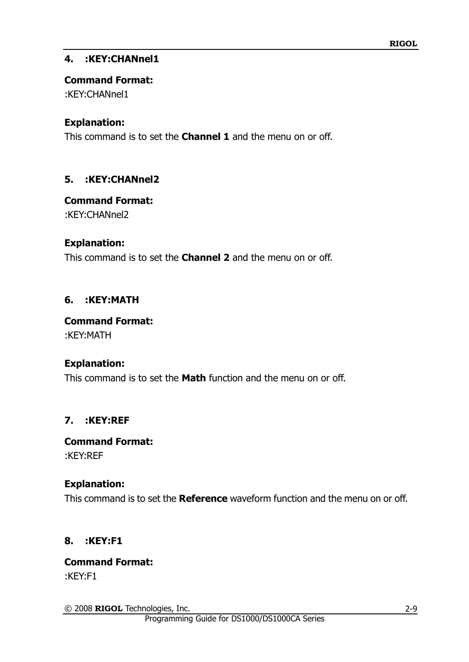#### **4. :KEY:CHANnel1**

#### **Command Format:**

:KEY:CHANnel1

## **Explanation:**

This command is to set the **Channel 1** and the menu on or off.

## **5. :KEY:CHANnel2**

## **Command Format:**

:KEY:CHANnel2

## **Explanation:**

This command is to set the **Channel 2** and the menu on or off.

## **6. :KEY:MATH**

**Command Format:** :KEY:MATH

## **Explanation:**

This command is to set the **Math** function and the menu on or off.

## **7. :KEY:REF**

#### **Command Format:** :KEY:REF

## **Explanation:**

This command is to set the **Reference** waveform function and the menu on or off.

## **8. :KEY:F1**

#### **Command Format:** :KEY:F1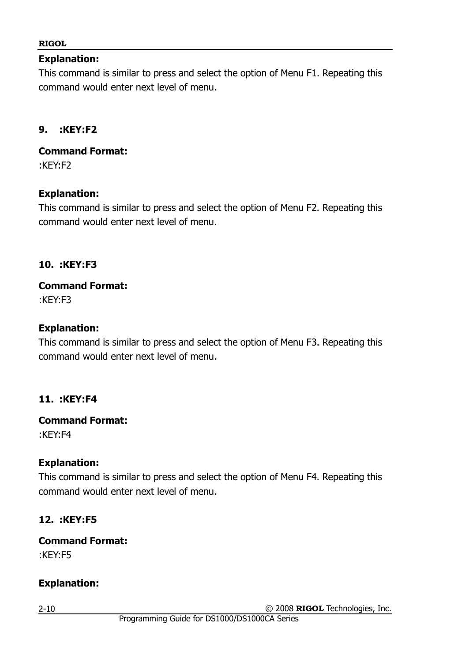#### **Explanation:**

This command is similar to press and select the option of Menu F1. Repeating this command would enter next level of menu.

#### **9. :KEY:F2**

**Command Format:** :KEY:F2

#### **Explanation:**

This command is similar to press and select the option of Menu F2. Repeating this command would enter next level of menu.

#### **10. :KEY:F3**

## **Command Format:**

:KEY:F3

#### **Explanation:**

This command is similar to press and select the option of Menu F3. Repeating this command would enter next level of menu.

#### **11. :KEY:F4**

#### **Command Format:**

:KEY:F4

#### **Explanation:**

This command is similar to press and select the option of Menu F4. Repeating this command would enter next level of menu.

## **12. :KEY:F5**

**Command Format:** :KEY:F5

#### **Explanation:**

2-10

© 2008 **RIGOL** Technologies, Inc.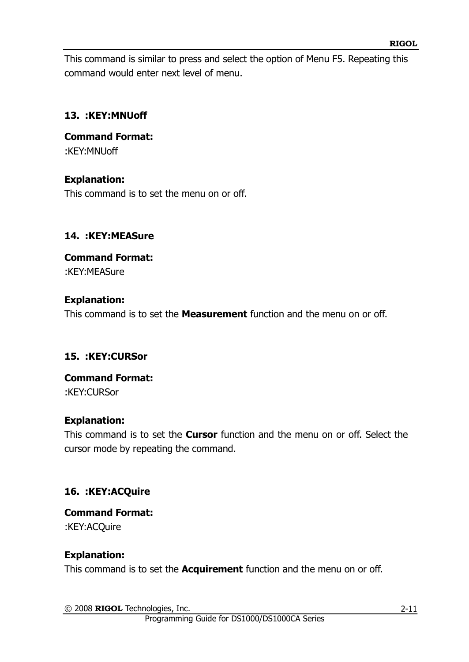This command is similar to press and select the option of Menu F5. Repeating this command would enter next level of menu.

#### **13. :KEY:MNUoff**

**Command Format:** :KEY:MNUoff

#### **Explanation:**

This command is to set the menu on or off.

#### **14. :KEY:MEASure**

## **Command Format:** :KEY:MEASure

#### **Explanation:**

This command is to set the **Measurement** function and the menu on or off.

#### **15. :KEY:CURSor**

#### **Command Format:** :KEY:CURSor

#### **Explanation:**

This command is to set the **Cursor** function and the menu on or off. Select the cursor mode by repeating the command.

## **16. :KEY:ACQuire**

## **Command Format:**

:KEY:ACQuire

#### **Explanation:**

This command is to set the **Acquirement** function and the menu on or off.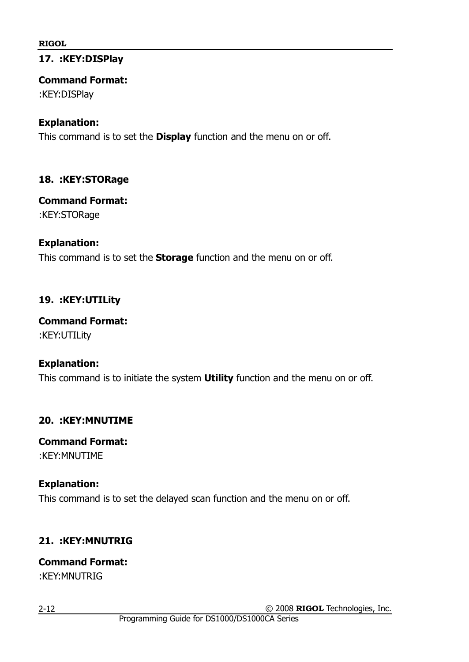#### **17. :KEY:DISPlay**

#### **Command Format:**

:KEY:DISPlay

#### **Explanation:**

This command is to set the **Display** function and the menu on or off.

#### **18. :KEY:STORage**

#### **Command Format:**

:KEY:STORage

## **Explanation:**

This command is to set the **Storage** function and the menu on or off.

## **19. :KEY:UTILity**

## **Command Format:**

:KEY:UTILity

## **Explanation:**

This command is to initiate the system **Utility** function and the menu on or off.

## **20. :KEY:MNUTIME**

#### **Command Format:** :KEY:MNUTIME

## **Explanation:**

This command is to set the delayed scan function and the menu on or off.

## **21. :KEY:MNUTRIG**

## **Command Format:**

:KEY:MNUTRIG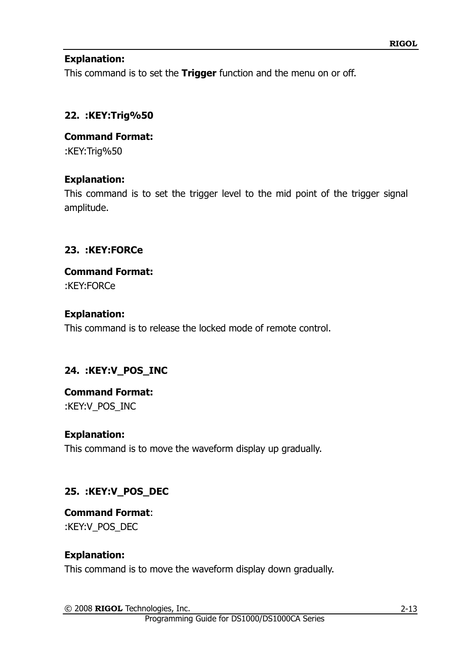#### **Explanation:**

This command is to set the **Trigger** function and the menu on or off.

#### **22. :KEY:Trig%50**

**Command Format:** :KEY:Trig%50

#### **Explanation:**

This command is to set the trigger level to the mid point of the trigger signal amplitude.

#### **23. :KEY:FORCe**

## **Command Format:**

:KEY:FORCe

#### **Explanation:**

This command is to release the locked mode of remote control.

## **24. :KEY:V\_POS\_INC**

## **Command Format:**

:KEY:V\_POS\_INC

#### **Explanation:**

This command is to move the waveform display up gradually.

## **25. :KEY:V\_POS\_DEC**

**Command Format**: :KEY:V\_POS\_DEC

#### **Explanation:**

This command is to move the waveform display down gradually.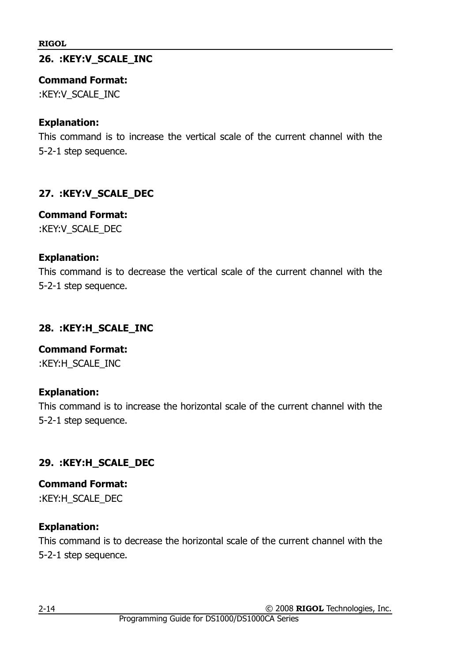## **26. :KEY:V\_SCALE\_INC**

#### **Command Format:**

:KEY:V\_SCALE\_INC

## **Explanation:**

This command is to increase the vertical scale of the current channel with the 5-2-1 step sequence.

## **27. :KEY:V\_SCALE\_DEC**

## **Command Format:**

:KEY:V\_SCALE\_DEC

## **Explanation:**

This command is to decrease the vertical scale of the current channel with the 5-2-1 step sequence.

## **28. :KEY:H\_SCALE\_INC**

**Command Format:** :KEY:H\_SCALE\_INC

## **Explanation:**

This command is to increase the horizontal scale of the current channel with the 5-2-1 step sequence.

## **29. :KEY:H\_SCALE\_DEC**

**Command Format:** :KEY:H\_SCALE\_DEC

## **Explanation:**

This command is to decrease the horizontal scale of the current channel with the 5-2-1 step sequence.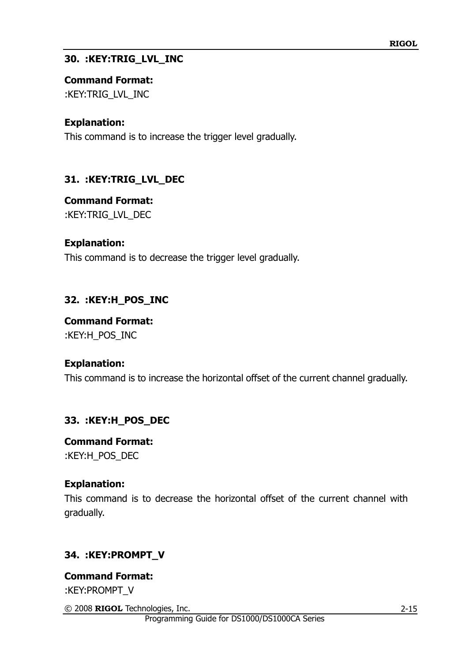#### **30. :KEY:TRIG\_LVL\_INC**

#### **Command Format:**

:KEY:TRIG\_LVL\_INC

#### **Explanation:**

This command is to increase the trigger level gradually.

## **31. :KEY:TRIG\_LVL\_DEC**

#### **Command Format:**

:KEY:TRIG\_LVL\_DEC

#### **Explanation:**

This command is to decrease the trigger level gradually.

## **32. :KEY:H\_POS\_INC**

**Command Format:** :KEY:H\_POS\_INC

#### **Explanation:**

This command is to increase the horizontal offset of the current channel gradually.

## **33. :KEY:H\_POS\_DEC**

**Command Format:** :KEY:H\_POS\_DEC

#### **Explanation:**

This command is to decrease the horizontal offset of the current channel with gradually.

## **34. :KEY:PROMPT\_V**

**Command Format:** :KEY:PROMPT\_V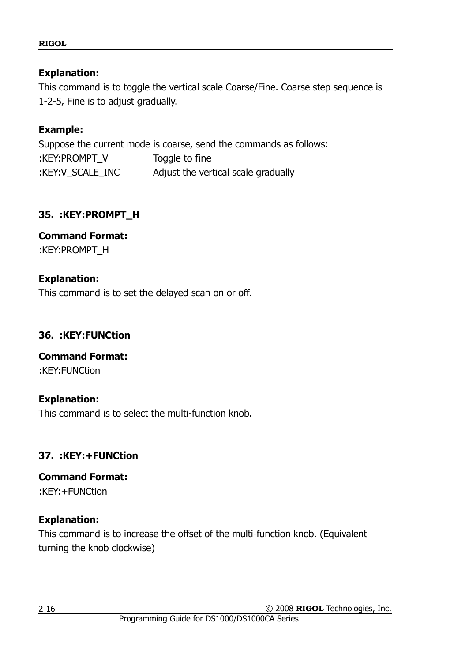#### **Explanation:**

This command is to toggle the vertical scale Coarse/Fine. Coarse step sequence is 1-2-5, Fine is to adjust gradually.

#### **Example:**

Suppose the current mode is coarse, send the commands as follows: :KEY:PROMPT\_V Toggle to fine :KEY:V\_SCALE\_INC Adjust the vertical scale gradually

#### **35. :KEY:PROMPT\_H**

#### **Command Format:** :KEY:PROMPT\_H

## **Explanation:**

This command is to set the delayed scan on or off.

## **36. :KEY:FUNCtion**

## **Command Format:**

:KEY:FUNCtion

#### **Explanation:**

This command is to select the multi-function knob.

## **37. :KEY:+FUNCtion**

#### **Command Format:** :KEY:+FUNCtion

## **Explanation:**

This command is to increase the offset of the multi-function knob. (Equivalent turning the knob clockwise)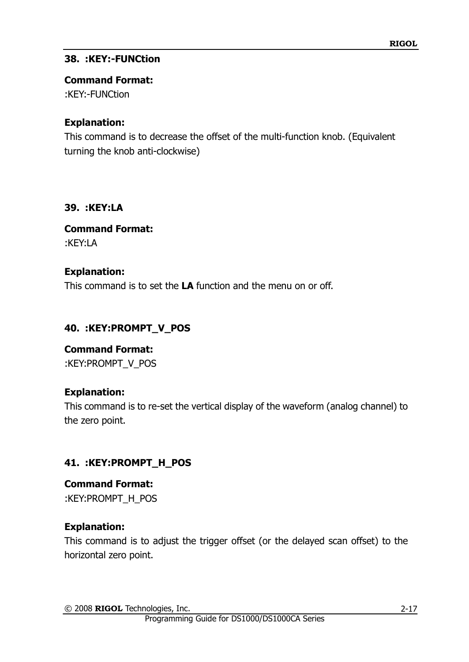## **38. :KEY:-FUNCtion**

#### **Command Format:**

:KEY:-FUNCtion

## **Explanation:**

This command is to decrease the offset of the multi-function knob. (Equivalent turning the knob anti-clockwise)

## **39. :KEY:LA**

**Command Format:** :KEY:LA

## **Explanation:**

This command is to set the **LA** function and the menu on or off.

## **40. :KEY:PROMPT\_V\_POS**

**Command Format:** :KEY:PROMPT\_V\_POS

## **Explanation:**

This command is to re-set the vertical display of the waveform (analog channel) to the zero point.

## **41. :KEY:PROMPT\_H\_POS**

**Command Format:** :KEY:PROMPT\_H\_POS

## **Explanation:**

This command is to adjust the trigger offset (or the delayed scan offset) to the horizontal zero point.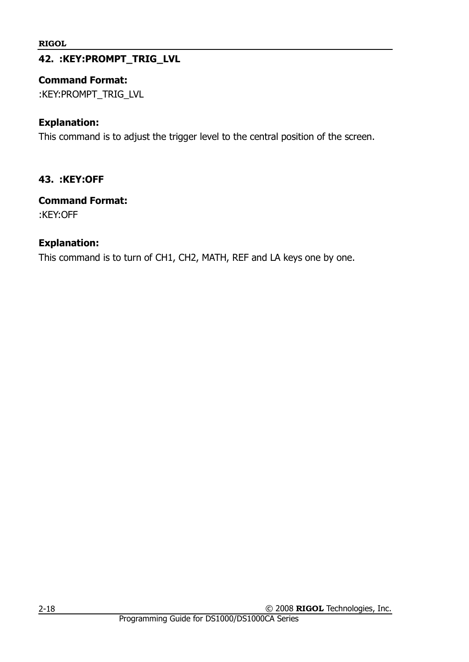## **42. :KEY:PROMPT\_TRIG\_LVL**

#### **Command Format:**

:KEY:PROMPT\_TRIG\_LVL

#### **Explanation:**

This command is to adjust the trigger level to the central position of the screen.

#### **43. :KEY:OFF**

#### **Command Format:**

:KEY:OFF

#### **Explanation:**

This command is to turn of CH1, CH2, MATH, REF and LA keys one by one.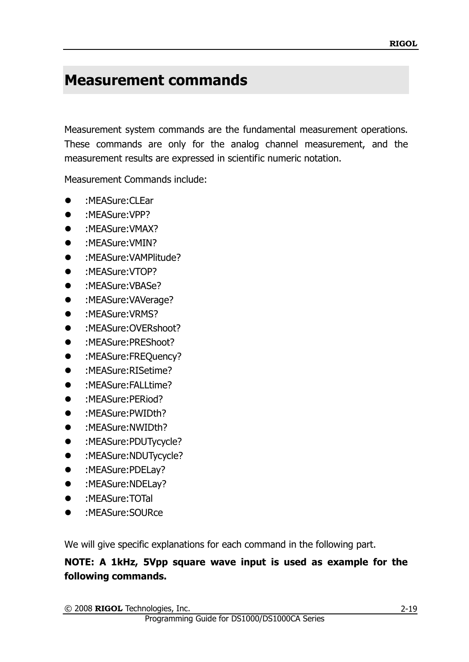## <span id="page-26-0"></span>**Measurement commands**

Measurement system commands are the fundamental measurement operations. These commands are only for the analog channel measurement, and the measurement results are expressed in scientific numeric notation.

Measurement Commands include:

- :MEASure:CLEar
- :MEASure:VPP?
- :MEASure:VMAX?
- :MEASure:VMIN?
- :MEASure:VAMPlitude?
- :MEASure:VTOP?
- :MEASure:VBASe?
- :MEASure:VAVerage?
- :MEASure:VRMS?
- :MEASure:OVERshoot?
- :MEASure:PREShoot?
- :MEASure:FREQuency?
- :MEASure:RISetime?
- :MEASure:FALLtime?
- :MEASure:PERiod?
- :MEASure:PWIDth?
- :MEASure:NWIDth?
- :MEASure:PDUTycycle?
- :MEASure:NDUTycycle?
- :MEASure:PDELay?
- :MEASure:NDELay?
- :MEASure:TOTal
- :MEASure:SOURce

We will give specific explanations for each command in the following part.

## **NOTE: A 1kHz, 5Vpp square wave input is used as example for the following commands.**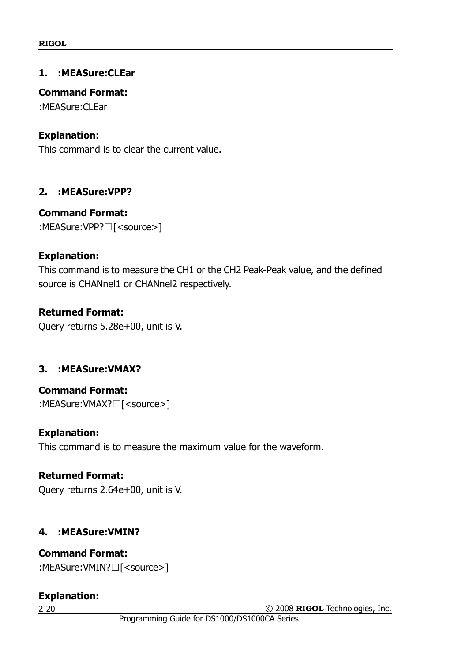#### **1. :MEASure:CLEar**

#### **Command Format:**

:MEASure:CLEar

#### **Explanation:**

This command is to clear the current value.

#### **2. :MEASure:VPP?**

#### **Command Format:**

:MEASure:VPP?□[<source>]

#### **Explanation:**

This command is to measure the CH1 or the CH2 Peak-Peak value, and the defined source is CHANnel1 or CHANnel2 respectively.

#### **Returned Format:**

Query returns 5.28e+00, unit is V.

## **3. :MEASure:VMAX?**

**Command Format:** :MEASure:VMAX?□[<source>]

#### **Explanation:**

This command is to measure the maximum value for the waveform.

## **Returned Format:**

Query returns 2.64e+00, unit is V.

#### **4. :MEASure:VMIN?**

## **Command Format:**

:MEASure:VMIN?□[<source>]

## **Explanation:**

2-20

© 2008 **RIGOL** Technologies, Inc.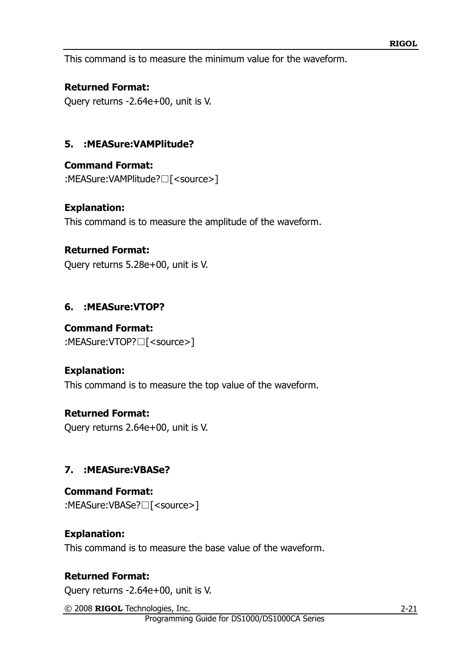This command is to measure the minimum value for the waveform.

#### **Returned Format:**

Query returns -2.64e+00, unit is V.

## **5. :MEASure:VAMPlitude?**

**Command Format:**

:MEASure:VAMPlitude?□[<source>]

#### **Explanation:**

This command is to measure the amplitude of the waveform.

#### **Returned Format:**

Query returns 5.28e+00, unit is V.

## **6. :MEASure:VTOP?**

#### **Command Format:**

:MEASure:VTOP?□[<source>]

## **Explanation:**

This command is to measure the top value of the waveform.

## **Returned Format:**

Query returns 2.64e+00, unit is V.

## **7. :MEASure:VBASe?**

**Command Format:** :MEASure:VBASe?□[<source>]

## **Explanation:**

This command is to measure the base value of the waveform.

## **Returned Format:**

Query returns -2.64e+00, unit is V.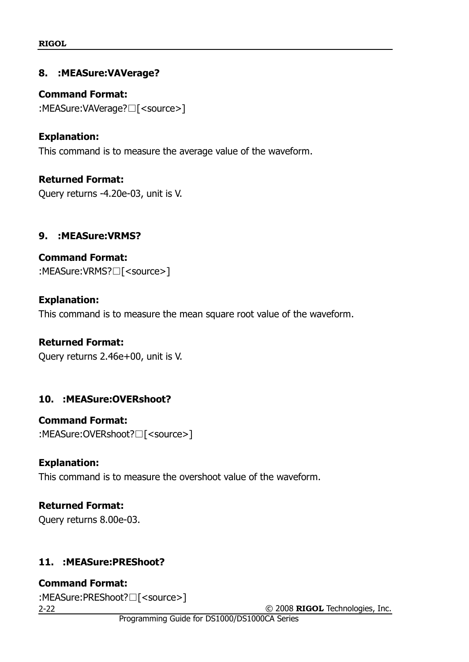#### **8. :MEASure:VAVerage?**

**Command Format:** :MEASure:VAVerage?□[<source>]

## **Explanation:**

This command is to measure the average value of the waveform.

**Returned Format:** Query returns -4.20e-03, unit is V.

#### **9. :MEASure:VRMS?**

**Command Format:** :MEASure:VRMS?□[<source>]

#### **Explanation:**

This command is to measure the mean square root value of the waveform.

#### **Returned Format:**

Query returns 2.46e+00, unit is V.

## **10. :MEASure:OVERshoot?**

## **Command Format:**

:MEASure:OVERshoot?□[<source>]

#### **Explanation:**

This command is to measure the overshoot value of the waveform.

## **Returned Format:**

Query returns 8.00e-03.

## **11. :MEASure:PREShoot?**

**Command Format:** :MEASure:PREShoot?□[<source>]

2-22

© 2008 **RIGOL** Technologies, Inc.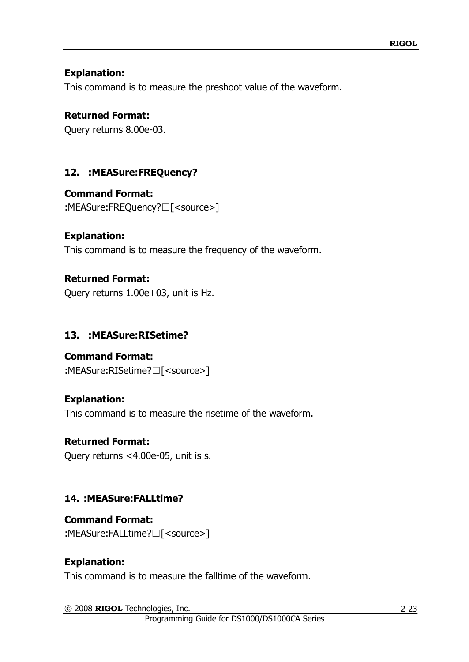#### **Explanation:**

This command is to measure the preshoot value of the waveform.

#### **Returned Format:**

Query returns 8.00e-03.

## **12. :MEASure:FREQuency?**

## **Command Format:**

:MEASure:FREQuency?□[<source>]

#### **Explanation:**

This command is to measure the frequency of the waveform.

#### **Returned Format:**

Query returns 1.00e+03, unit is Hz.

## **13. :MEASure:RISetime?**

## **Command Format:**

:MEASure:RISetime?□[<source>]

#### **Explanation:**

This command is to measure the risetime of the waveform.

## **Returned Format:**

Query returns <4.00e-05, unit is s.

## **14. :MEASure:FALLtime?**

#### **Command Format:** :MEASure:FALLtime?□[<source>]

## **Explanation:**

This command is to measure the falltime of the waveform.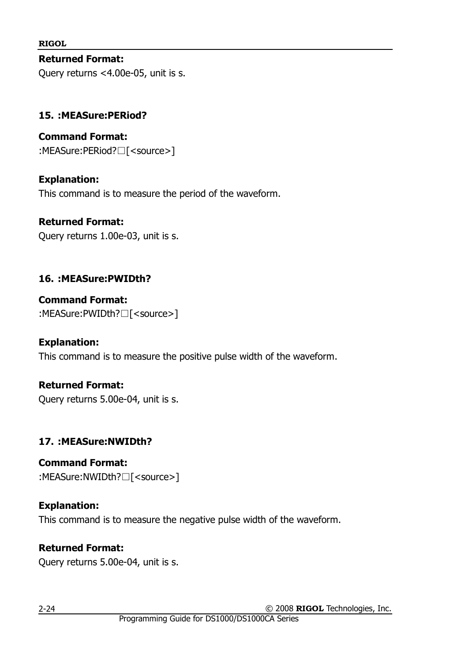**Returned Format:** Query returns <4.00e-05, unit is s.

## **15. :MEASure:PERiod?**

**Command Format:** :MEASure:PERiod?□[<source>]

## **Explanation:**

This command is to measure the period of the waveform.

#### **Returned Format:**

Query returns 1.00e-03, unit is s.

## **16. :MEASure:PWIDth?**

**Command Format:** :MEASure:PWIDth?□[<source>]

#### **Explanation:**

This command is to measure the positive pulse width of the waveform.

## **Returned Format:**

Query returns 5.00e-04, unit is s.

## **17. :MEASure:NWIDth?**

**Command Format:** :MEASure:NWIDth?□[<source>]

## **Explanation:**

This command is to measure the negative pulse width of the waveform.

## **Returned Format:**

Query returns 5.00e-04, unit is s.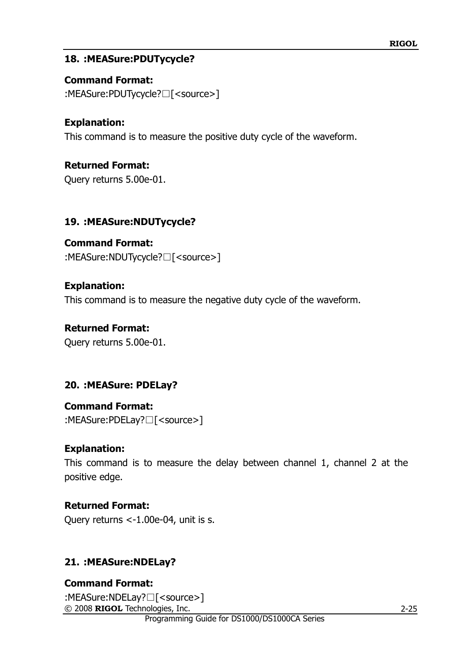#### **18. :MEASure:PDUTycycle?**

**Command Format:** :MEASure:PDUTycycle?□[<source>]

## **Explanation:**

This command is to measure the positive duty cycle of the waveform.

**Returned Format:**

Query returns 5.00e-01.

#### **19. :MEASure:NDUTycycle?**

**Command Format:** :MEASure:NDUTycycle?□[<source>]

#### **Explanation:**

This command is to measure the negative duty cycle of the waveform.

#### **Returned Format:**

Query returns 5.00e-01.

#### **20. :MEASure: PDELay?**

## **Command Format:**

:MEASure:PDELay?□[<source>]

#### **Explanation:**

This command is to measure the delay between channel 1, channel 2 at the positive edge.

#### **Returned Format:**

Query returns <-1.00e-04, unit is s.

## **21. :MEASure:NDELay?**

© 2008 **RIGOL** Technologies, Inc. **Command Format:** :MEASure:NDELay?□[<source>]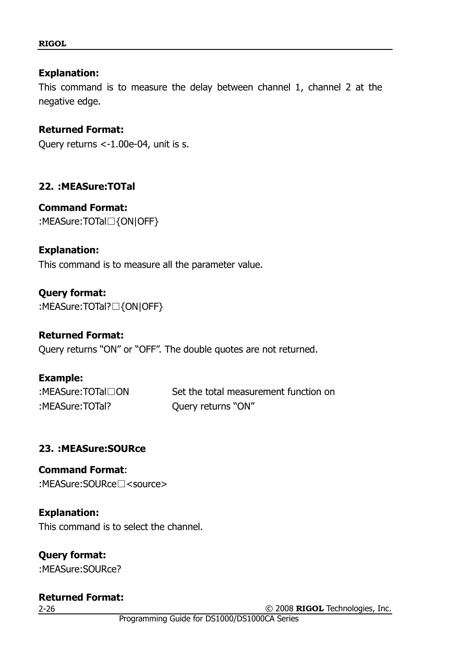#### **Explanation:**

This command is to measure the delay between channel 1, channel 2 at the negative edge.

#### **Returned Format:**

Query returns <-1.00e-04, unit is s.

#### **22. :MEASure:TOTal**

**Command Format:** :MEASure:TOTal□{ON|OFF}

#### **Explanation:**

This command is to measure all the parameter value.

**Query format:** :MEASure:TOTal?□{ON|OFF}

#### **Returned Format:**

Query returns "ON" or "OFF". The double quotes are not returned.

**Example:** :MEASure:TOTal? Query returns "ON"

:MEASure:TOTal□ON Set the total measurement function on

#### **23. :MEASure:SOURce**

**Command Format**: :MEASure:SOURce□<source>

**Explanation:**

This command is to select the channel.

**Query format:** :MEASure:SOURce?

## **Returned Format:**

2-26

© 2008 **RIGOL** Technologies, Inc.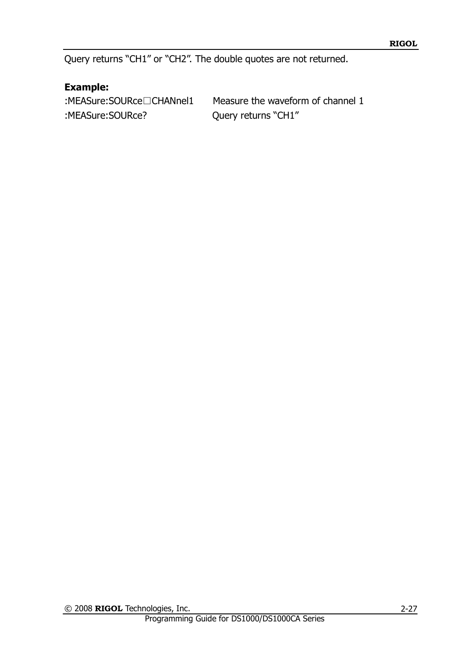Query returns "CH1" or "CH2". The double quotes are not returned.

## **Example:**

:MEASure:SOURce? Query returns "CH1"

:MEASure:SOURce□CHANnel1 Measure the waveform of channel 1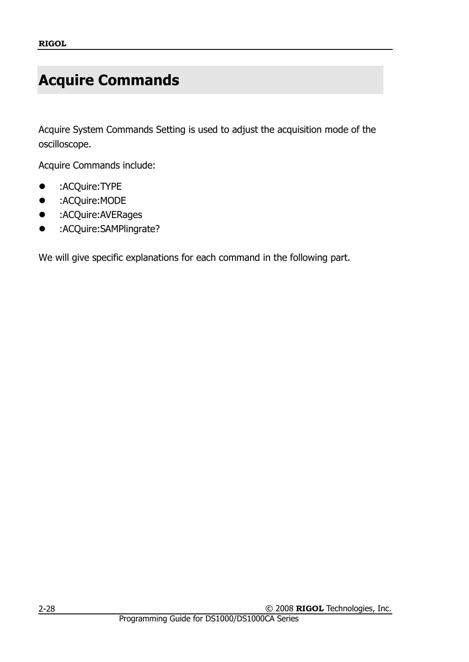## <span id="page-35-0"></span>**Acquire Commands**

Acquire System Commands Setting is used to adjust the acquisition mode of the oscilloscope.

Acquire Commands include:

- :ACQuire:TYPE
- :ACQuire:MODE
- **•** :ACQuire:AVERages
- :ACQuire:SAMPlingrate?

We will give specific explanations for each command in the following part.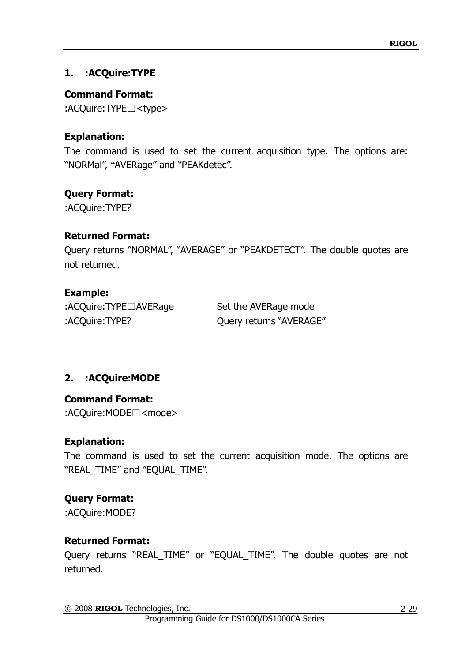## **1. :ACQuire:TYPE**

## **Command Format:**

:ACQuire:TYPE□<type>

## **Explanation:**

The command is used to set the current acquisition type. The options are: "NORMal", "AVERage" and "PEAKdetec".

## **Query Format:**

:ACQuire:TYPE?

### **Returned Format:**

Query returns "NORMAL", "AVERAGE" or "PEAKDETECT". The double quotes are not returned.

## **Example:**

:ACQuire:TYPE□AVERage Set the AVERage mode :ACQuire:TYPE? Query returns "AVERAGE"

# **2. :ACQuire:MODE**

**Command Format:** :ACQuire:MODE□<mode>

## **Explanation:**

The command is used to set the current acquisition mode. The options are "REAL\_TIME" and "EQUAL\_TIME".

# **Query Format:**

:ACQuire:MODE?

## **Returned Format:**

Query returns "REAL\_TIME" or "EQUAL\_TIME". The double quotes are not returned.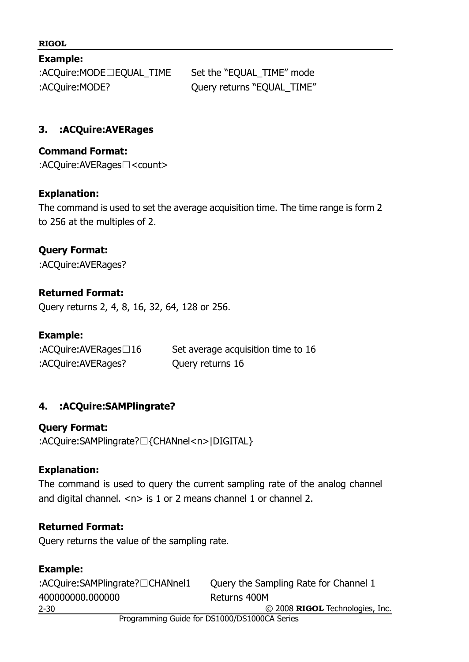#### **Example:**

:ACQuire:MODE□EQUAL\_TIME Set the "EQUAL\_TIME" mode :ACQuire:MODE? Query returns "EQUAL\_TIME"

#### **3. :ACQuire:AVERages**

#### **Command Format:**

:ACQuire:AVERages□<count>

#### **Explanation:**

The command is used to set the average acquisition time. The time range is form 2 to 256 at the multiples of 2.

# **Query Format:**

:ACQuire:AVERages?

#### **Returned Format:**

Query returns 2, 4, 8, 16, 32, 64, 128 or 256.

#### **Example:**

| :ACQuire:AVERages $\Box$ 16 | Set average acquisition time to 16 |
|-----------------------------|------------------------------------|
| :ACQuire:AVERages?          | Query returns 16                   |

#### **4. :ACQuire:SAMPlingrate?**

**Query Format:** :ACQuire:SAMPlingrate?□{CHANnel<n>|DIGITAL}

#### **Explanation:**

The command is used to query the current sampling rate of the analog channel and digital channel.  $\langle n \rangle$  is 1 or 2 means channel 1 or channel 2.

#### **Returned Format:**

Query returns the value of the sampling rate.

#### **Example:**

© 2008 **RIGOL** Technologies, Inc. 2-30 :ACQuire:SAMPlingrate?□CHANnel1 Query the Sampling Rate for Channel 1 400000000.000000 Returns 400M

Programming Guide for DS1000/DS1000CA Series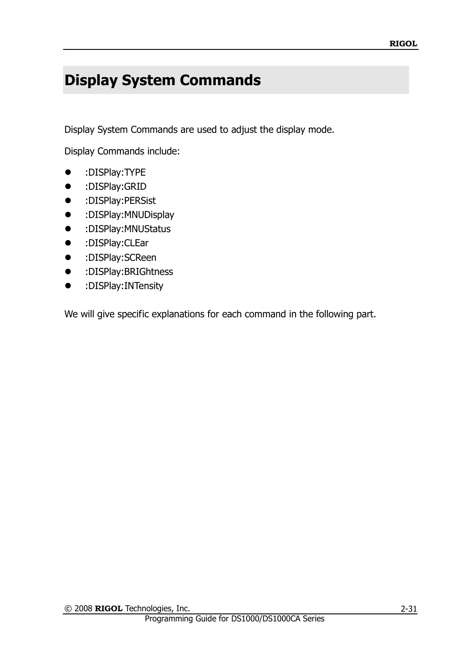# **Display System Commands**

Display System Commands are used to adjust the display mode.

Display Commands include:

- :DISPlay:TYPE
- :DISPlay:GRID
- :DISPlay:PERSist
- :DISPlay:MNUDisplay
- :DISPlay:MNUStatus
- :DISPlay:CLEar
- :DISPlay:SCReen
- :DISPlay:BRIGhtness
- :DISPlay:INTensity

We will give specific explanations for each command in the following part.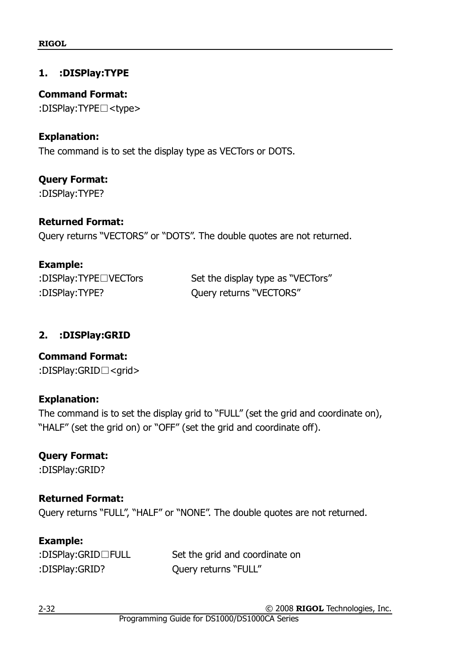#### **1. :DISPlay:TYPE**

**Command Format:** :DISPlay:TYPE□<type>

#### **Explanation:**

The command is to set the display type as VECTors or DOTS.

**Query Format:** :DISPlay:TYPE?

#### **Returned Format:**

Query returns "VECTORS" or "DOTS". The double quotes are not returned.

#### **Example:**

| :DISPlay:TYPE <sup>DVECTors</sup> | Set the display type as "VECTors" |
|-----------------------------------|-----------------------------------|
| :DISPlay:TYPE?                    | Query returns "VECTORS"           |

#### **2. :DISPlay:GRID**

#### **Command Format:**

:DISPlay:GRID□<grid>

#### **Explanation:**

The command is to set the display grid to "FULL" (set the grid and coordinate on), "HALF" (set the grid on) or "OFF" (set the grid and coordinate off).

#### **Query Format:**

:DISPlay:GRID?

# **Returned Format:**

Query returns "FULL", "HALF" or "NONE". The double quotes are not returned.

## **Example:**

| :DISPlay:GRID□FULL | Set the grid and coordinate on |
|--------------------|--------------------------------|
| :DISPlay:GRID?     | Query returns "FULL"           |

© 2008 **RIGOL** Technologies, Inc.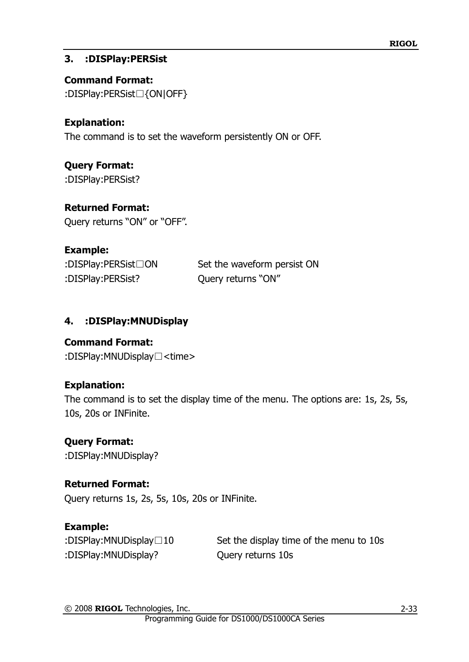### **3. :DISPlay:PERSist**

**Command Format:** :DISPlay:PERSist□{ON|OFF}

## **Explanation:**

The command is to set the waveform persistently ON or OFF.

**Query Format:** :DISPlay:PERSist?

### **Returned Format:**

Query returns "ON" or "OFF".

## **Example:**

:DISPlay:PERSist? Query returns "ON"

:DISPlay:PERSist□ON Set the waveform persist ON

## **4. :DISPlay:MNUDisplay**

#### **Command Format:**

:DISPlay:MNUDisplay□<time>

## **Explanation:**

The command is to set the display time of the menu. The options are: 1s, 2s, 5s, 10s, 20s or INFinite.

## **Query Format:**

:DISPlay:MNUDisplay?

#### **Returned Format:**

Query returns 1s, 2s, 5s, 10s, 20s or INFinite.

## **Example:**

:DISPlay:MNUDisplay? Query returns 10s

:DISPlay:MNUDisplay□10 Set the display time of the menu to 10s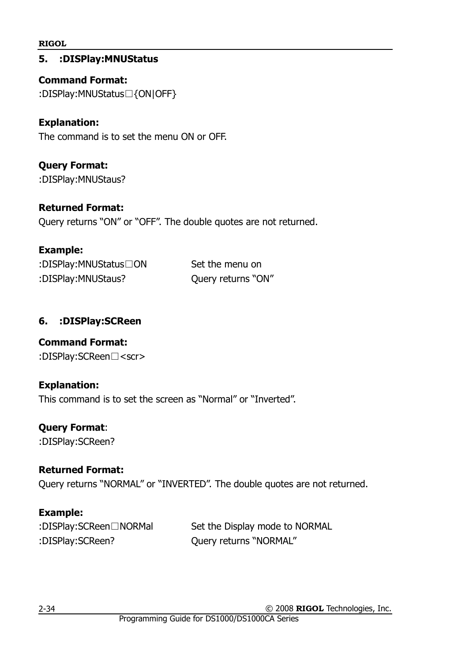### **5. :DISPlay:MNUStatus**

**Command Format:** :DISPlay:MNUStatus□{ON|OFF}

### **Explanation:**

The command is to set the menu ON or OFF.

**Query Format:** :DISPlay:MNUStaus?

#### **Returned Format:**

Query returns "ON" or "OFF". The double quotes are not returned.

#### **Example:**

| :DISPlay:MNUStatus ON | Se |
|-----------------------|----|
| :DISPlay:MNUStaus?    | Qι |

t the menu on ery returns "ON"

## **6. :DISPlay:SCReen**

## **Command Format:**

:DISPlay:SCReen□<scr>

#### **Explanation:**

This command is to set the screen as "Normal" or "Inverted".

#### **Query Format**:

:DISPlay:SCReen?

## **Returned Format:**

Query returns "NORMAL" or "INVERTED". The double quotes are not returned.

## **Example:**

| :DISPlay:SCReen□NORMal |
|------------------------|
| :DISPlay:SCReen?       |

Set the Display mode to NORMAL Query returns "NORMAL"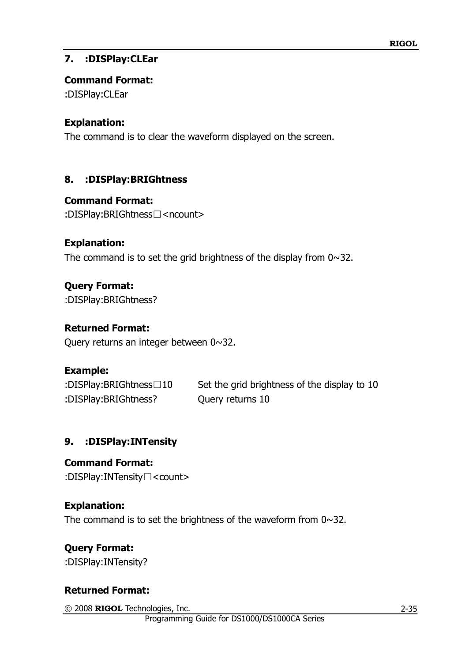## **7. :DISPlay:CLEar**

### **Command Format:**

:DISPlay:CLEar

## **Explanation:**

The command is to clear the waveform displayed on the screen.

## **8. :DISPlay:BRIGhtness**

## **Command Format:**

:DISPlay:BRIGhtness□<ncount>

### **Explanation:**

The command is to set the grid brightness of the display from  $0 \sim 32$ .

# **Query Format:**

:DISPlay:BRIGhtness?

## **Returned Format:**

Query returns an integer between 0~32.

## **Example:**

:DISPlay:BRIGhtness□10 Set the grid brightness of the display to 10 :DISPlay:BRIGhtness? Query returns 10

## **9. :DISPlay:INTensity**

# **Command Format:**

:DISPlay:INTensity□<count>

## **Explanation:**

The command is to set the brightness of the waveform from 0~32.

# **Query Format:**

:DISPlay:INTensity?

## **Returned Format:**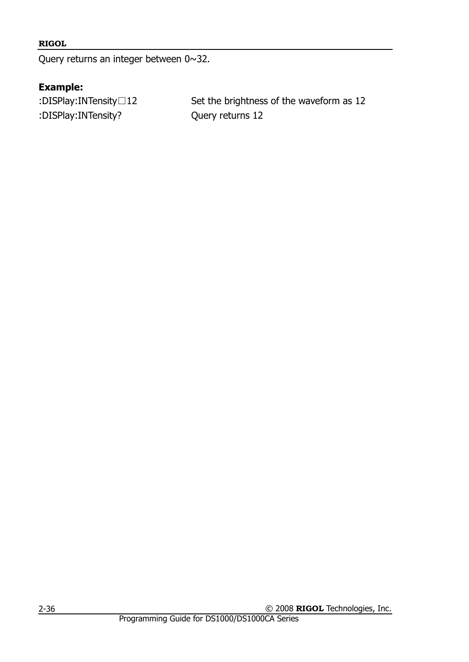Query returns an integer between 0~32.

## **Example:**

:DISPlay:INTensity? Query returns 12

:DISPlay:INTensity□12 Set the brightness of the waveform as 12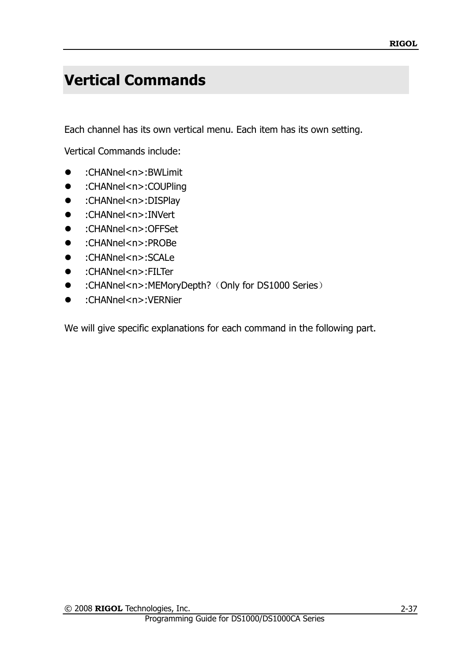# **Vertical Commands**

Each channel has its own vertical menu. Each item has its own setting.

Vertical Commands include:

- :CHANnel<n>:BWLimit
- :CHANnel<n>:COUPling
- :CHANnel<n>:DISPlay
- :CHANnel<n>:INVert
- :CHANnel<n>:OFFSet
- :CHANnel<n>:PROBe
- :CHANnel<n>:SCALe
- :CHANnel<n>:FILTer
- :CHANnel<n>:MEMoryDepth?(Only for DS1000 Series)
- :CHANnel<n>:VERNier

We will give specific explanations for each command in the following part.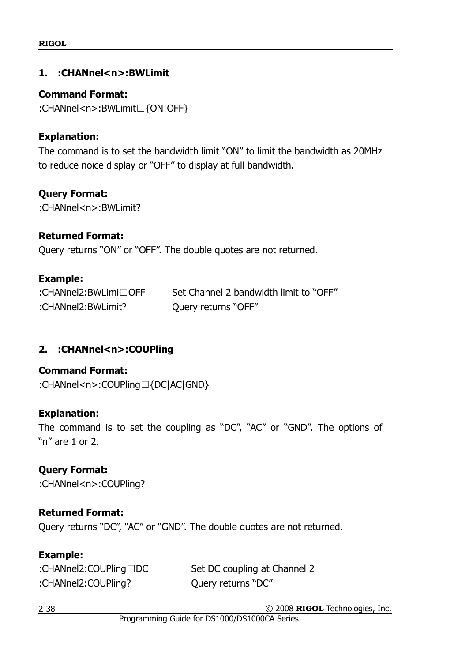#### **1. :CHANnel<n>:BWLimit**

#### **Command Format:**

:CHANnel<n>:BWLimit□{ON|OFF}

#### **Explanation:**

The command is to set the bandwidth limit "ON" to limit the bandwidth as 20MHz to reduce noice display or "OFF" to display at full bandwidth.

#### **Query Format:**

:CHANnel<n>:BWLimit?

#### **Returned Format:**

Query returns "ON" or "OFF". The double quotes are not returned.

#### **Example:**

| :CHANnel2:BWLimi□OFF | Set Channel 2 bandwidth limit to "OFF" |
|----------------------|----------------------------------------|
| :CHANnel2:BWLimit?   | Query returns "OFF"                    |

## **2. :CHANnel<n>:COUPling**

#### **Command Format:**

:CHANnel<n>:COUPling□{DC|AC|GND}

#### **Explanation:**

The command is to set the coupling as "DC", "AC" or "GND". The options of "n" are 1 or 2.

#### **Query Format:**

:CHANnel<n>:COUPling?

#### **Returned Format:**

Query returns "DC", "AC" or "GND". The double quotes are not returned.

#### **Example:**

:CHANnel2:COUPling? Query returns "DC"

:CHANnel2:COUPling□DC Set DC coupling at Channel 2

© 2008 **RIGOL** Technologies, Inc.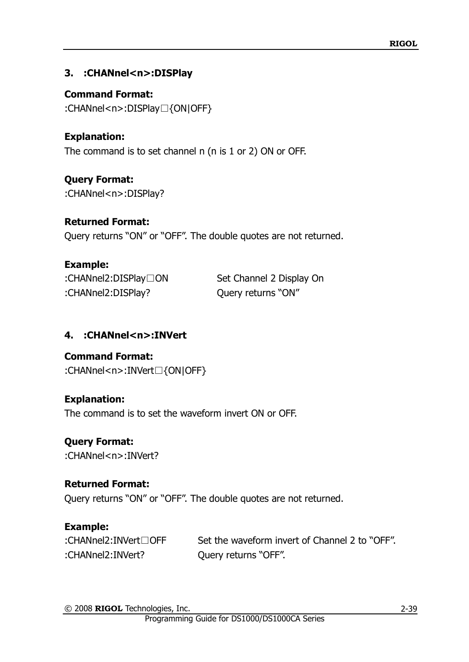## **3. :CHANnel<n>:DISPlay**

**Command Format:** :CHANnel<n>:DISPlay□{ON|OFF}

**Explanation:** The command is to set channel n (n is 1 or 2) ON or OFF.

**Query Format:** :CHANnel<n>:DISPlay?

## **Returned Format:**

Query returns "ON" or "OFF". The double quotes are not returned.

## **Example:**

:CHANnel2:DISPlay? Query returns "ON"

:CHANnel2:DISPlay□ON Set Channel 2 Display On

# **4. :CHANnel<n>:INVert**

**Command Format:** :CHANnel<n>:INVert□{ON|OFF}

## **Explanation:**

The command is to set the waveform invert ON or OFF.

# **Query Format:**

:CHANnel<n>:INVert?

## **Returned Format:**

Query returns "ON" or "OFF". The double quotes are not returned.

# **Example:**

:CHANnel2:INVert□OFF Set the waveform invert of Channel 2 to "OFF". :CHANnel2:INVert? Query returns "OFF".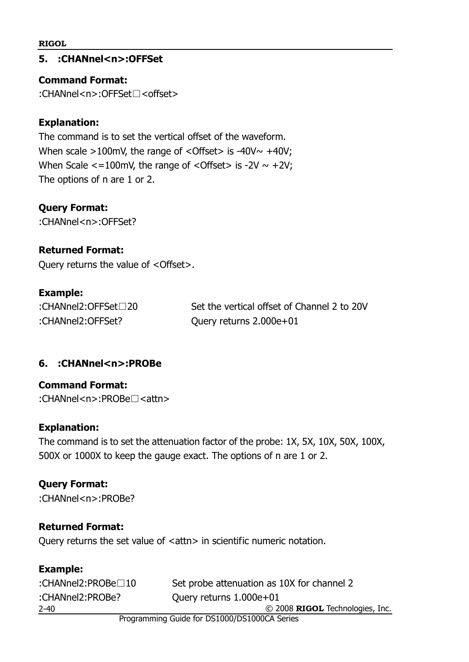**5. :CHANnel<n>:OFFSet**

**Command Format:**

:CHANnel<n>:OFFSet□<offset>

## **Explanation:**

The command is to set the vertical offset of the waveform. When scale  $>100$ mV, the range of <Offset> is -40V $\sim$  +40V; When Scale  $\lt$ =100mV, the range of  $\lt$ Offset> is -2V  $\sim$  +2V; The options of n are 1 or 2.

## **Query Format:**

:CHANnel<n>:OFFSet?

## **Returned Format:**

Query returns the value of <Offset>.

## **Example:**

:CHANnel2:OFFSet□20 Set the vertical offset of Channel 2 to 20V :CHANnel2:OFFSet? Query returns 2.000e+01

# **6. :CHANnel<n>:PROBe**

**Command Format:** :CHANnel<n>:PROBe□<attn>

## **Explanation:**

The command is to set the attenuation factor of the probe: 1X, 5X, 10X, 50X, 100X, 500X or 1000X to keep the gauge exact. The options of n are 1 or 2.

## **Query Format:**

:CHANnel<n>:PROBe?

## **Returned Format:**

Query returns the set value of <attn> in scientific numeric notation.

| <b>Example:</b>                              |                                            |
|----------------------------------------------|--------------------------------------------|
| :CHANnel2:PROBe□10                           | Set probe attenuation as 10X for channel 2 |
| :CHANnel2:PROBe?                             | Query returns 1.000e+01                    |
| $2 - 40$                                     | © 2008 RIGOL Technologies, Inc.            |
| Programming Guide for DS1000/DS1000CA Series |                                            |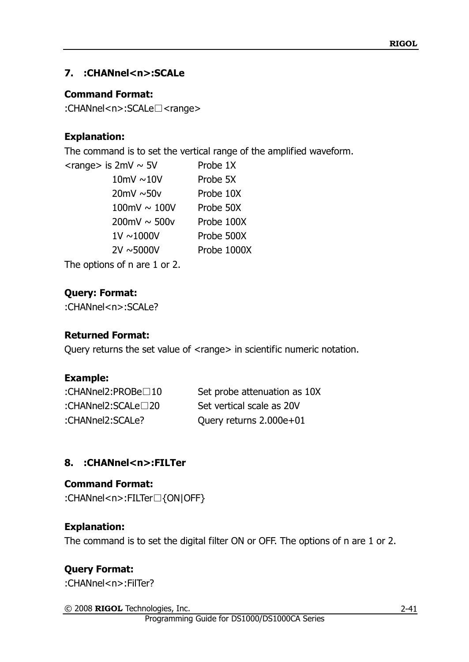## **7. :CHANnel<n>:SCALe**

#### **Command Format:**

:CHANnel<n>:SCALe□<range>

## **Explanation:**

The command is to set the vertical range of the amplified waveform.

| $\alpha$ <range> is 2mV <math>\sim</math> 5V</range> | Probe 1X    |
|------------------------------------------------------|-------------|
| 10mV $\sim$ 10V                                      | Probe 5X    |
| $20mV \sim 50v$                                      | Probe 10X   |
| 100mV $\sim$ 100V                                    | Probe 50X   |
| $200 \text{mV} \sim 500 \text{V}$                    | Probe 100X  |
| $1V \sim 1000V$                                      | Probe 500X  |
| $2V \sim 5000V$                                      | Probe 1000X |
| The options of n are 1 or 2.                         |             |

**Query: Format:**

:CHANnel<n>:SCALe?

#### **Returned Format:**

Query returns the set value of <range> in scientific numeric notation.

## **Example:**

:CHANnel2:PROBe□10 Set probe attenuation as 10X :CHANnel2:SCALe□20 Set vertical scale as 20V :CHANnel2:SCALe? Query returns 2.000e+01

# **8. :CHANnel<n>:FILTer**

## **Command Format:**

:CHANnel<n>:FILTer□{ON|OFF}

## **Explanation:**

The command is to set the digital filter ON or OFF. The options of n are 1 or 2.

# **Query Format:**

:CHANnel<n>:FilTer?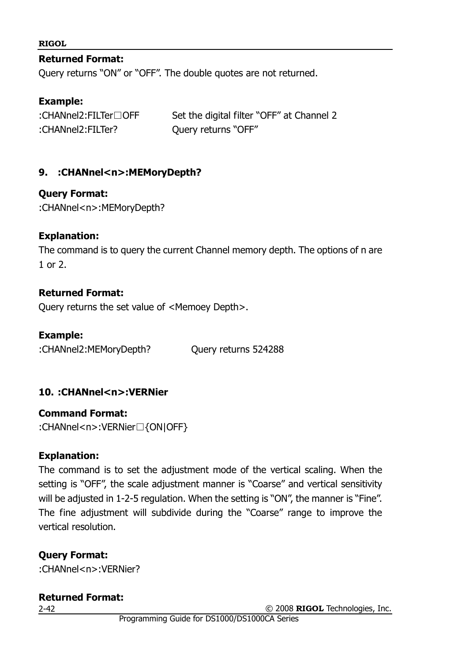#### **Returned Format:**

Query returns "ON" or "OFF". The double quotes are not returned.

#### **Example:**

|                   | Set the digital filter "OFF" at Channel 2 |
|-------------------|-------------------------------------------|
| :CHANnel2:FILTer? | Query returns "OFF"                       |

#### **9. :CHANnel<n>:MEMoryDepth?**

#### **Query Format:**

:CHANnel<n>:MEMoryDepth?

#### **Explanation:**

The command is to query the current Channel memory depth. The options of n are 1 or 2.

#### **Returned Format:**

Query returns the set value of <Memoey Depth>.

#### **Example:**

:CHANnel2:MEMoryDepth? Query returns 524288

#### **10. :CHANnel<n>:VERNier**

**Command Format:** :CHANnel<n>:VERNier□{ON|OFF}

#### **Explanation:**

The command is to set the adjustment mode of the vertical scaling. When the setting is "OFF", the scale adjustment manner is "Coarse" and vertical sensitivity will be adjusted in 1-2-5 regulation. When the setting is "ON", the manner is "Fine". The fine adjustment will subdivide during the "Coarse" range to improve the vertical resolution.

#### **Query Format:**

:CHANnel<n>:VERNier?

### **Returned Format:**

2-42

© 2008 **RIGOL** Technologies, Inc.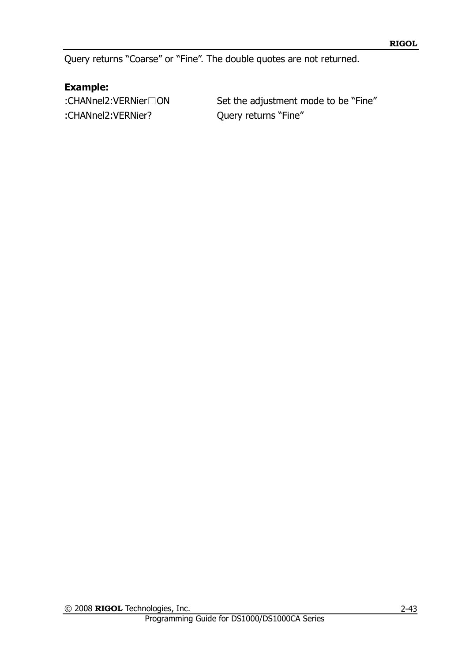Query returns "Coarse" or "Fine". The double quotes are not returned.

## **Example:**

:CHANnel2:VERNier? Query returns "Fine"

:CHANnel2:VERNier□ON Set the adjustment mode to be "Fine"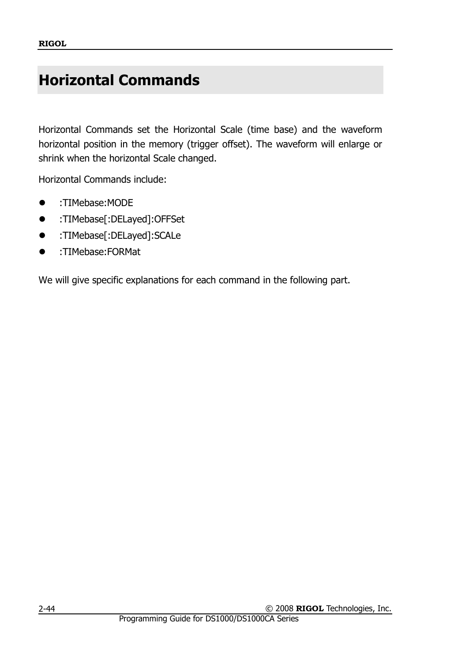# **Horizontal Commands**

Horizontal Commands set the Horizontal Scale (time base) and the waveform horizontal position in the memory (trigger offset). The waveform will enlarge or shrink when the horizontal Scale changed.

Horizontal Commands include:

- :TIMebase:MODE
- :TIMebase[:DELayed]:OFFSet
- :TIMebase[:DELayed]:SCALe
- :TIMebase:FORMat

We will give specific explanations for each command in the following part.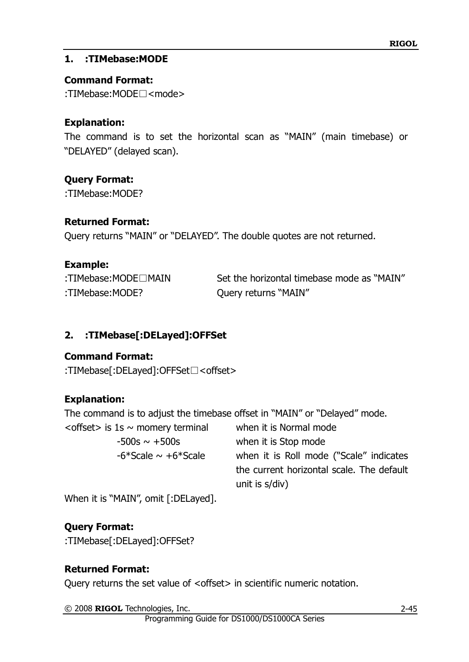## **1. :TIMebase:MODE**

### **Command Format:**

:TIMebase:MODE□<mode>

## **Explanation:**

The command is to set the horizontal scan as "MAIN" (main timebase) or "DELAYED" (delayed scan).

### **Query Format:**

:TIMebase:MODE?

#### **Returned Format:**

Query returns "MAIN" or "DELAYED". The double quotes are not returned.

### **Example:**

:TIMebase:MODE? Query returns "MAIN"

:TIMebase:MODE□MAIN Set the horizontal timebase mode as "MAIN"

# **2. :TIMebase[:DELayed]:OFFSet**

## **Command Format:**

:TIMebase[:DELayed]:OFFSet□<offset>

## **Explanation:**

The command is to adjust the timebase offset in "MAIN" or "Delayed" mode.

| <offset> is <math>1s \sim</math> momery terminal</offset> | when it is Normal mode                    |
|-----------------------------------------------------------|-------------------------------------------|
| $-500s \sim +500s$                                        | when it is Stop mode                      |
| $-6*$ Scale $\sim +6*$ Scale                              | when it is Roll mode ("Scale" indicates   |
|                                                           | the current horizontal scale. The default |
|                                                           | unit is s/div)                            |
|                                                           |                                           |

When it is "MAIN", omit [:DELayed].

## **Query Format:**

:TIMebase[:DELayed]:OFFSet?

## **Returned Format:**

Query returns the set value of <offset> in scientific numeric notation.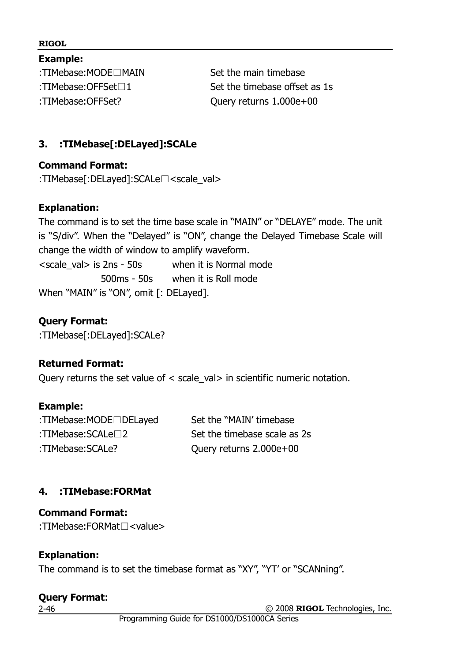**Example:** :TIMebase:MODE□MAIN Set the main timebase :TIMebase:OFFSet? Query returns 1.000e+00

:TIMebase:OFFSet□1 Set the timebase offset as 1s

## **3. :TIMebase[:DELayed]:SCALe**

#### **Command Format:**

:TIMebase[:DELayed]:SCALe□<scale\_val>

### **Explanation:**

The command is to set the time base scale in "MAIN" or "DELAYE" mode. The unit is "S/div". When the "Delayed" is "ON", change the Delayed Timebase Scale will change the width of window to amplify waveform.  $\le$ scale val $>$  is 2ns - 50s when it is Normal mode 500ms - 50s when it is Roll mode When "MAIN" is "ON", omit [: DELayed].

## **Query Format:**

:TIMebase[:DELayed]:SCALe?

## **Returned Format:**

Query returns the set value of < scale\_val> in scientific numeric notation.

## **Example:**

:TIMebase:MODE□DELayed Set the "MAIN" timebase :TIMebase:SCALe□2 Set the timebase scale as 2s :TIMebase:SCALe? Query returns 2.000e+00

# **4. :TIMebase:FORMat**

## **Command Format:**

:TIMebase:FORMat□<value>

## **Explanation:**

The command is to set the timebase format as "XY", "YT" or "SCANning".

#### **Query Format**:

2-46

© 2008 **RIGOL** Technologies, Inc.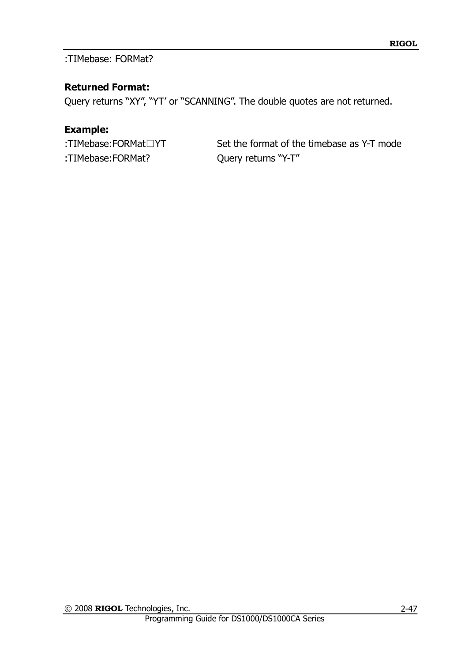:TIMebase: FORMat?

## **Returned Format:**

Query returns "XY", "YT" or "SCANNING". The double quotes are not returned.

## **Example:**

:TIMebase:FORMat□YT Set the format of the timebase as Y-T mode :TIMebase:FORMat? Query returns "Y-T"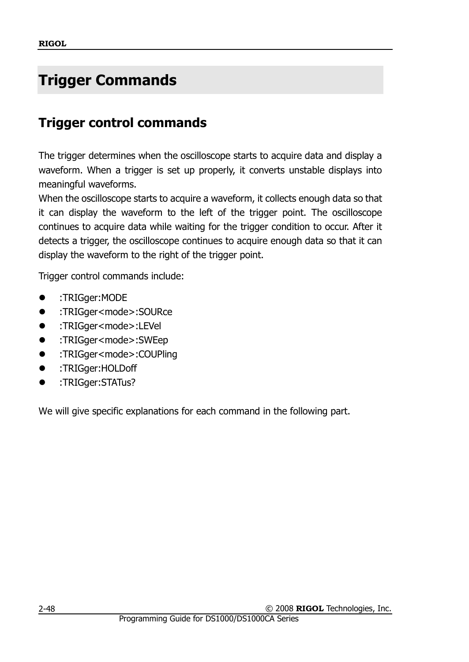# **Trigger Commands**

# **Trigger control commands**

The trigger determines when the oscilloscope starts to acquire data and display a waveform. When a trigger is set up properly, it converts unstable displays into meaningful waveforms.

When the oscilloscope starts to acquire a waveform, it collects enough data so that it can display the waveform to the left of the trigger point. The oscilloscope continues to acquire data while waiting for the trigger condition to occur. After it detects a trigger, the oscilloscope continues to acquire enough data so that it can display the waveform to the right of the trigger point.

Trigger control commands include:

- :TRIGger:MODE
- :TRIGger<mode>:SOURce
- :TRIGger<mode>:LEVel
- :TRIGger<mode>:SWEep
- :TRIGger<mode>:COUPling
- :TRIGger:HOLDoff
- **•** :TRIGger:STATus?

We will give specific explanations for each command in the following part.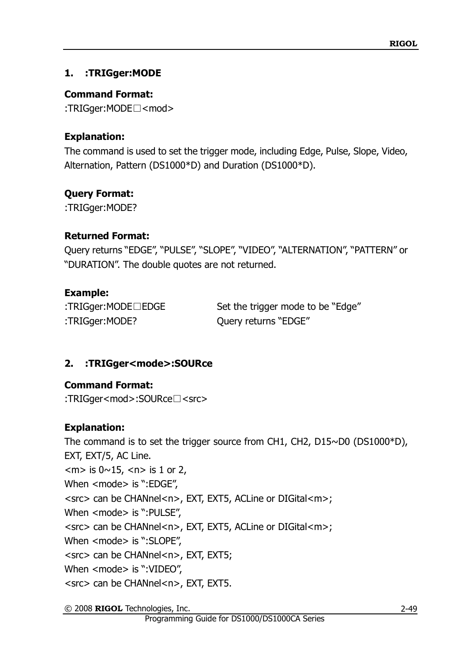## **1. :TRIGger:MODE**

## **Command Format:**

:TRIGger:MODE□<mod>

## **Explanation:**

The command is used to set the trigger mode, including Edge, Pulse, Slope, Video, Alternation, Pattern (DS1000\*D) and Duration (DS1000\*D).

## **Query Format:**

:TRIGger:MODE?

## **Returned Format:**

Query returns "EDGE", "PULSE", "SLOPE", "VIDEO", "ALTERNATION", "PATTERN" or "DURATION". The double quotes are not returned.

## **Example:**

:TRIGger:MODE? Query returns "EDGE"

:TRIGger:MODE□EDGE Set the trigger mode to be "Edge"

# **2. :TRIGger<mode>:SOURce**

# **Command Format:**

:TRIGger<mod>:SOURce□<src>

# **Explanation:**

The command is to set the trigger source from CH1, CH2, D15~D0 (DS1000\*D), EXT, EXT/5, AC Line.  $\langle m \rangle$  is  $0 \sim 15$ ,  $\langle n \rangle$  is 1 or 2, When <mode> is ":EDGE", <src> can be CHANnel<n>, EXT, EXT5, ACLine or DIGital<m>; When <mode> is ":PULSE", <src> can be CHANnel<n>, EXT, EXT5, ACLine or DIGital<m>; When <mode> is ":SLOPE", <src> can be CHANnel<n>, EXT, EXT5; When <mode> is ":VIDEO", <src> can be CHANnel<n>, EXT, EXT5.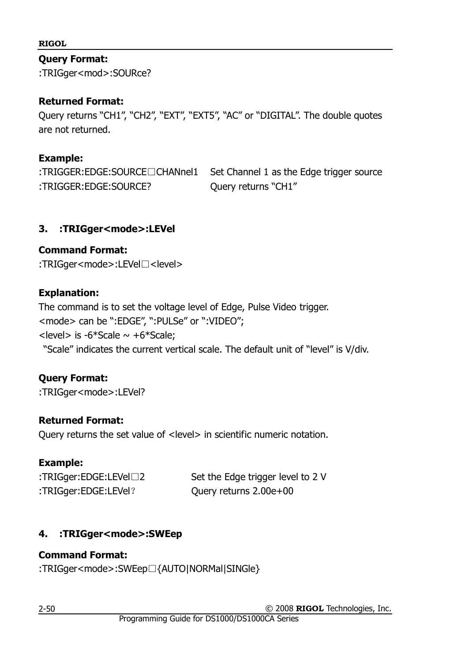#### **Query Format:**

:TRIGger<mod>:SOURce?

## **Returned Format:**

Query returns "CH1", "CH2", "EXT", "EXT5", "AC" or "DIGITAL". The double quotes are not returned.

#### **Example:**

:TRIGGER:EDGE:SOURCE□CHANnel1 Set Channel 1 as the Edge trigger source :TRIGGER:EDGE:SOURCE? Query returns "CH1"

### **3. :TRIGger<mode>:LEVel**

### **Command Format:**

:TRIGger<mode>:LEVel□<level>

### **Explanation:**

The command is to set the voltage level of Edge, Pulse Video trigger. <mode> can be ":EDGE", ":PULSe" or ":VIDEO";  $\le$ level> is -6\*Scale  $\sim$  +6\*Scale; "Scale" indicates the current vertical scale. The default unit of "level" is V/div.

## **Query Format:**

:TRIGger<mode>:LEVel?

## **Returned Format:**

Query returns the set value of <level> in scientific numeric notation.

#### **Example:**

| : $TRIGger:EDGE:LEVel \square 2$ | Set the Edge trigger level to 2 V |
|----------------------------------|-----------------------------------|
| :TRIGger:EDGE:LEVel?             | Query returns 2.00e+00            |

## **4. :TRIGger<mode>:SWEep**

#### **Command Format:**

:TRIGger<mode>:SWEep□{AUTO|NORMal|SINGle}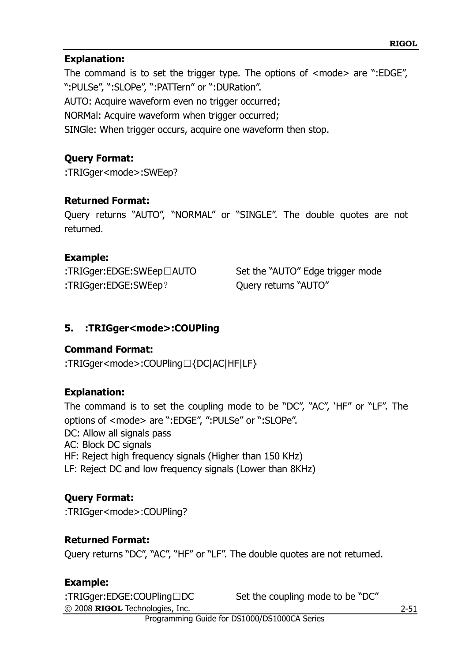#### **Explanation:**

The command is to set the trigger type. The options of <mode> are ":EDGE", ":PULSe", ":SLOPe", ":PATTern" or ":DURation". AUTO: Acquire waveform even no trigger occurred; NORMal: Acquire waveform when trigger occurred; SINGle: When trigger occurs, acquire one waveform then stop.

#### **Query Format:**

:TRIGger<mode>:SWEep?

#### **Returned Format:**

Query returns "AUTO", "NORMAL" or "SINGLE". The double quotes are not returned.

#### **Example:**

| :TRIGger:EDGE:SWEep□AUTO | Set the "AUTO" Edge trigger mode |
|--------------------------|----------------------------------|
| :TRIGger:EDGE:SWEep?     | Query returns "AUTO"             |

#### **5. :TRIGger<mode>:COUPling**

#### **Command Format:**

:TRIGger<mode>:COUPling□{DC|AC|HF|LF}

#### **Explanation:**

The command is to set the coupling mode to be "DC", "AC", "HF" or "LF". The options of <mode> are ":EDGE", ":PULSe" or ":SLOPe". DC: Allow all signals pass AC: Block DC signals HF: Reject high frequency signals (Higher than 150 KHz) LF: Reject DC and low frequency signals (Lower than 8KHz)

#### **Query Format:**

:TRIGger<mode>:COUPling?

#### **Returned Format:**

Query returns "DC", "AC", "HF" or "LF". The double quotes are not returned.

#### **Example:**

© 2008 **RIGOL** Technologies, Inc. :TRIGger:EDGE:COUPling□DC Set the coupling mode to be "DC"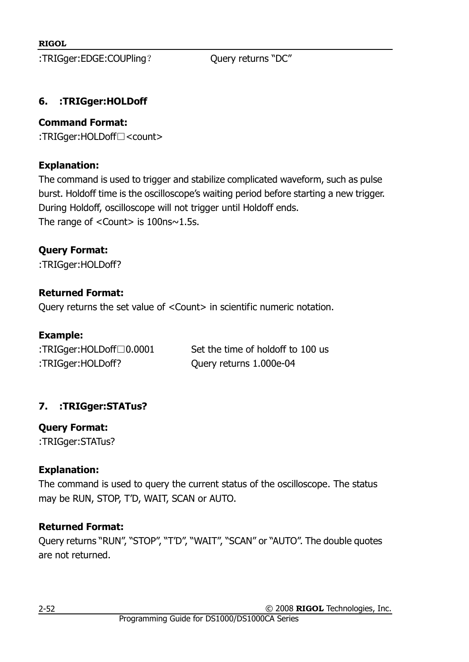:TRIGger:EDGE:COUPling? Query returns "DC"

## **6. :TRIGger:HOLDoff**

#### **Command Format:**

:TRIGger:HOLDoff□<count>

#### **Explanation:**

The command is used to trigger and stabilize complicated waveform, such as pulse burst. Holdoff time is the oscilloscope"s waiting period before starting a new trigger. During Holdoff, oscilloscope will not trigger until Holdoff ends. The range of  $<$ Count $>$  is 100ns $\sim$ 1.5s.

## **Query Format:**

:TRIGger:HOLDoff?

## **Returned Format:**

Query returns the set value of <Count> in scientific numeric notation.

#### **Example:**

| :TRIGger:HOLDoff $\Box$ 0.0001 | Set the time of holdoff to 100 us |
|--------------------------------|-----------------------------------|
| :TRIGger:HOLDoff?              | Query returns 1.000e-04           |

# **7. :TRIGger:STATus?**

**Query Format:**

:TRIGger:STATus?

## **Explanation:**

The command is used to query the current status of the oscilloscope. The status may be RUN, STOP, T"D, WAIT, SCAN or AUTO.

## **Returned Format:**

Query returns "RUN", "STOP", "T"D", "WAIT", "SCAN" or "AUTO". The double quotes are not returned.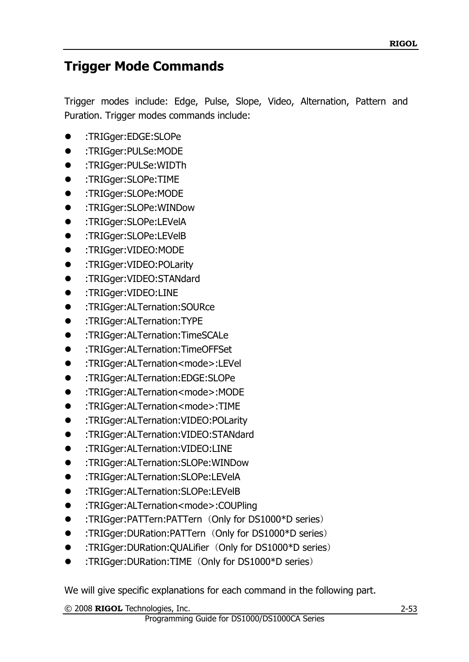# **Trigger Mode Commands**

Trigger modes include: Edge, Pulse, Slope, Video, Alternation, Pattern and Puration. Trigger modes commands include:

- :TRIGger:EDGE:SLOPe
- :TRIGger:PULSe:MODE
- :TRIGger:PULSe:WIDTh
- :TRIGger:SLOPe:TIME
- :TRIGger:SLOPe:MODE
- :TRIGger:SLOPe:WINDow
- :TRIGger:SLOPe:LEVelA
- :TRIGger:SLOPe:LEVelB
- :TRIGger:VIDEO:MODE
- :TRIGger:VIDEO:POLarity
- :TRIGger:VIDEO:STANdard
- :TRIGger:VIDEO:LINE
- :TRIGger:ALTernation:SOURce
- :TRIGger:ALTernation:TYPE
- :TRIGger:ALTernation:TimeSCALe
- :TRIGger:ALTernation:TimeOFFSet
- :TRIGger:ALTernation<mode>:LEVel
- :TRIGger:ALTernation:EDGE:SLOPe
- :TRIGger:ALTernation<mode>:MODE
- :TRIGger:ALTernation<mode>:TIME
- :TRIGger:ALTernation:VIDEO:POLarity
- :TRIGger:ALTernation:VIDEO:STANdard
- :TRIGger:ALTernation:VIDEO:LINE
- :TRIGger:ALTernation:SLOPe:WINDow
- :TRIGger:ALTernation:SLOPe:LEVelA
- :TRIGger:ALTernation:SLOPe:LEVelB
- :TRIGger:ALTernation<mode>:COUPling
- :TRIGger:PATTern:PATTern (Only for DS1000\*D series)
- :TRIGger:DURation:PATTern(Only for DS1000\*D series)
- :TRIGger:DURation:QUALifier (Only for DS1000\*D series)
- :TRIGger:DURation:TIME(Only for DS1000\*D series)

We will give specific explanations for each command in the following part.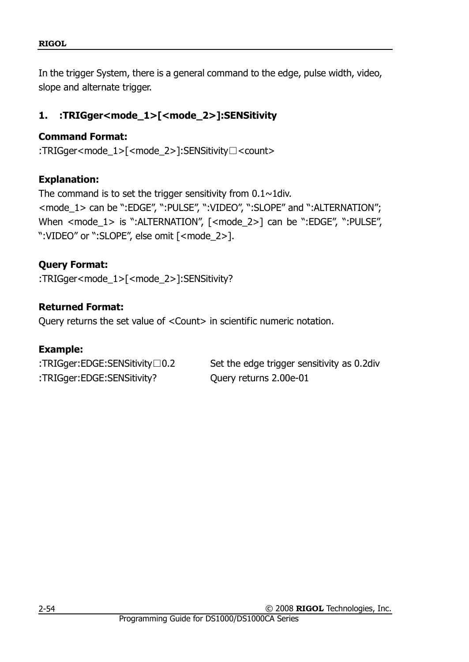In the trigger System, there is a general command to the edge, pulse width, video, slope and alternate trigger.

# **1. :TRIGger<mode\_1>[<mode\_2>]:SENSitivity**

## **Command Format:**

:TRIGger<mode\_1>[<mode\_2>]:SENSitivity□<count>

## **Explanation:**

The command is to set the trigger sensitivity from  $0.1 \sim 1$ div. <mode\_1> can be ":EDGE", ":PULSE", ":VIDEO", ":SLOPE" and ":ALTERNATION"; When <mode 1> is ":ALTERNATION", [<mode 2>] can be ":EDGE", ":PULSE", ":VIDEO" or ":SLOPE", else omit [<mode\_2>].

# **Query Format:**

:TRIGger<mode\_1>[<mode\_2>]:SENSitivity?

## **Returned Format:**

Query returns the set value of <Count> in scientific numeric notation.

## **Example:**

| : $TRIGger:EDGE: SENSitivity \Box 0.2$ | Set the edge trigger sensitivity as 0.2 div |
|----------------------------------------|---------------------------------------------|
| :TRIGger:EDGE:SENSitivity?             | Query returns 2.00e-01                      |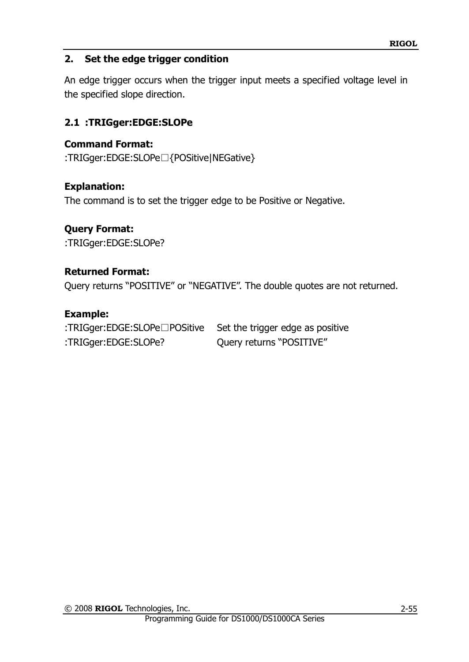## **2. Set the edge trigger condition**

An edge trigger occurs when the trigger input meets a specified voltage level in the specified slope direction.

## **2.1 :TRIGger:EDGE:SLOPe**

### **Command Format:**

:TRIGger:EDGE:SLOPe□{POSitive|NEGative}

### **Explanation:**

The command is to set the trigger edge to be Positive or Negative.

### **Query Format:**

:TRIGger:EDGE:SLOPe?

### **Returned Format:**

Query returns "POSITIVE" or "NEGATIVE". The double quotes are not returned.

### **Example:**

:TRIGger:EDGE:SLOPe□POSitive Set the trigger edge as positive :TRIGger:EDGE:SLOPe? Query returns "POSITIVE"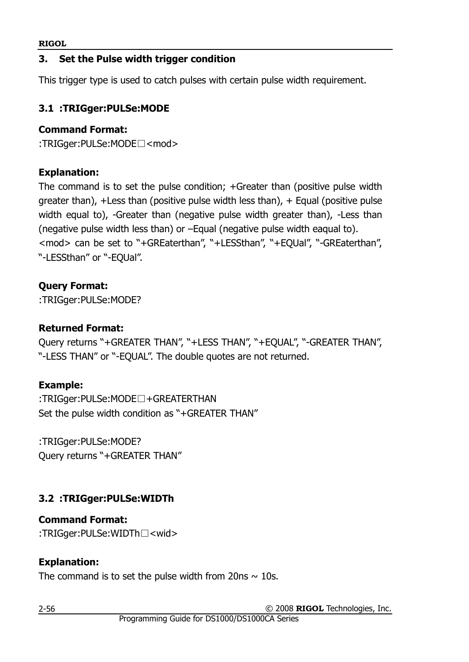## **3. Set the Pulse width trigger condition**

This trigger type is used to catch pulses with certain pulse width requirement.

## **3.1 :TRIGger:PULSe:MODE**

#### **Command Format:**

:TRIGger:PULSe:MODE□<mod>

## **Explanation:**

The command is to set the pulse condition; +Greater than (positive pulse width greater than),  $\pm$  Less than (positive pulse width less than),  $\pm$  Equal (positive pulse width equal to), -Greater than (negative pulse width greater than), -Less than (negative pulse width less than) or –Equal (negative pulse width eaqual to). <mod> can be set to "+GREaterthan", "+LESSthan", "+EQUal", "-GREaterthan", "-LESSthan" or "-EQUal".

# **Query Format:**

:TRIGger:PULSe:MODE?

## **Returned Format:**

Query returns "+GREATER THAN", "+LESS THAN", "+EQUAL", "-GREATER THAN", "-LESS THAN" or "-EQUAL". The double quotes are not returned.

## **Example:**

:TRIGger:PULSe:MODE□+GREATERTHAN Set the pulse width condition as "+GREATER THAN"

:TRIGger:PULSe:MODE? Query returns "+GREATER THAN"

# **3.2 :TRIGger:PULSe:WIDTh**

#### **Command Format:** :TRIGger:PULSe:WIDTh□<wid>

# **Explanation:**

The command is to set the pulse width from 20ns  $\sim$  10s.

© 2008 **RIGOL** Technologies, Inc.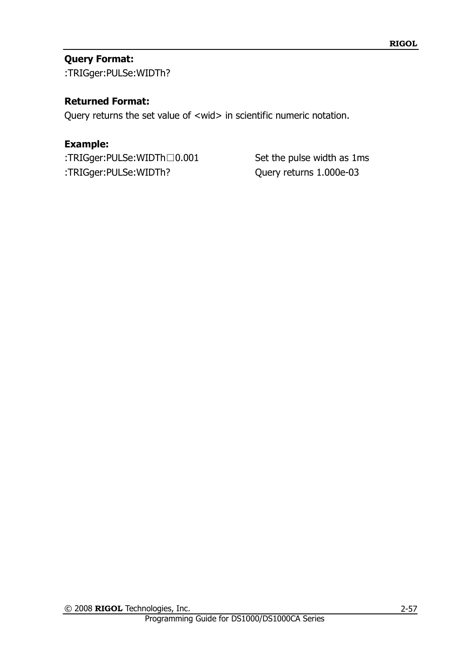## **Query Format:**

:TRIGger:PULSe:WIDTh?

#### **Returned Format:**

Query returns the set value of <wid> in scientific numeric notation.

#### **Example:**

:TRIGger:PULSe:WIDTh□0.001 Set the pulse width as 1ms :TRIGger:PULSe:WIDTh? Query returns 1.000e-03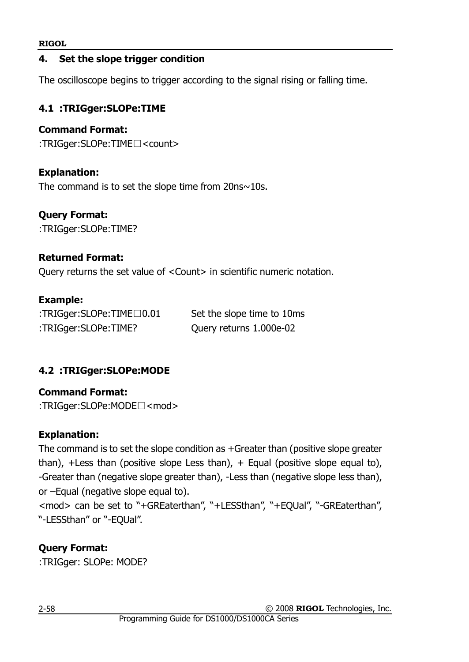#### **4. Set the slope trigger condition**

The oscilloscope begins to trigger according to the signal rising or falling time.

## **4.1 :TRIGger:SLOPe:TIME**

## **Command Format:**

:TRIGger:SLOPe:TIME□<count>

## **Explanation:**

The command is to set the slope time from  $20$ ns $\sim$ 10s.

## **Query Format:**

:TRIGger:SLOPe:TIME?

## **Returned Format:**

Query returns the set value of <Count> in scientific numeric notation.

## **Example:**

:TRIGger:SLOPe:TIME□0.01 Set the slope time to 10ms :TRIGger:SLOPe:TIME? Query returns 1.000e-02

# **4.2 :TRIGger:SLOPe:MODE**

**Command Format:** :TRIGger:SLOPe:MODE□<mod>

## **Explanation:**

The command is to set the slope condition as +Greater than (positive slope greater than),  $+$ Less than (positive slope Less than),  $+$  Equal (positive slope equal to), -Greater than (negative slope greater than), -Less than (negative slope less than), or –Equal (negative slope equal to).

<mod> can be set to "+GREaterthan", "+LESSthan", "+EQUal", "-GREaterthan", "-LESSthan" or "-EQUal".

# **Query Format:**

:TRIGger: SLOPe: MODE?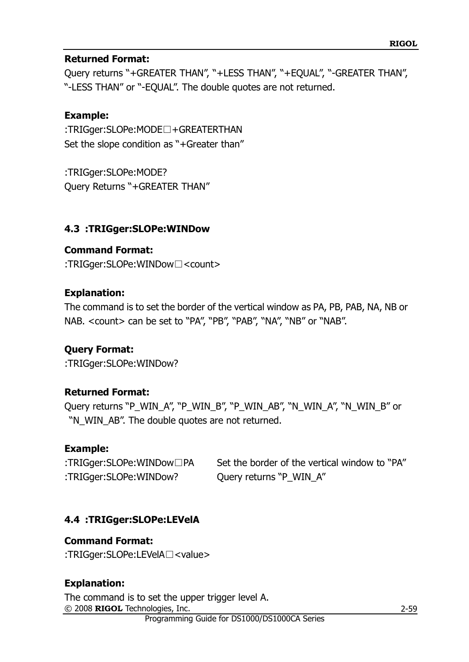#### **Returned Format:**

Query returns "+GREATER THAN", "+LESS THAN", "+EQUAL", "-GREATER THAN", "-LESS THAN" or "-EQUAL". The double quotes are not returned.

#### **Example:**

:TRIGger:SLOPe:MODE□+GREATERTHAN Set the slope condition as "+Greater than"

:TRIGger:SLOPe:MODE? Query Returns "+GREATER THAN"

#### **4.3 :TRIGger:SLOPe:WINDow**

#### **Command Format:**

:TRIGger:SLOPe:WINDow□<count>

#### **Explanation:**

The command is to set the border of the vertical window as PA, PB, PAB, NA, NB or NAB. < count > can be set to "PA", "PB", "PAB", "NA", "NB" or "NAB".

## **Query Format:**

:TRIGger:SLOPe:WINDow?

#### **Returned Format:**

Query returns "P\_WIN\_A", "P\_WIN\_B", "P\_WIN\_AB", "N\_WIN\_A", "N\_WIN\_B" or "N\_WIN\_AB". The double quotes are not returned.

#### **Example:**

:TRIGger:SLOPe:WINDow□PA Set the border of the vertical window to "PA" :TRIGger:SLOPe:WINDow? Query returns "P\_WIN\_A"

## **4.4 :TRIGger:SLOPe:LEVelA**

#### **Command Format:**

:TRIGger:SLOPe:LEVelA□<value>

#### **Explanation:**

© 2008 **RIGOL** Technologies, Inc. The command is to set the upper trigger level A.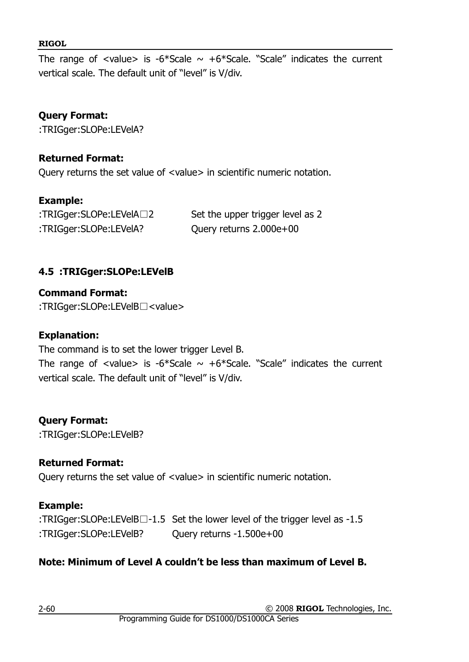The range of <value> is -6\*Scale  $\sim$  +6\*Scale. "Scale" indicates the current vertical scale. The default unit of "level" is V/div.

## **Query Format:**

:TRIGger:SLOPe:LEVelA?

### **Returned Format:**

Query returns the set value of <value> in scientific numeric notation.

### **Example:**

| :TRIGger:SLOPe:LEVelA□2 | Set the upper trigger level as 2 |
|-------------------------|----------------------------------|
| :TRIGger:SLOPe:LEVelA?  | Query returns 2.000e+00          |

## **4.5 :TRIGger:SLOPe:LEVelB**

**Command Format:** :TRIGger:SLOPe:LEVelB□<value>

#### **Explanation:**

The command is to set the lower trigger Level B.

The range of <value> is -6\*Scale  $\sim$  +6\*Scale. "Scale" indicates the current vertical scale. The default unit of "level" is V/div.

## **Query Format:**

:TRIGger:SLOPe:LEVelB?

## **Returned Format:**

Query returns the set value of <value> in scientific numeric notation.

## **Example:**

:TRIGger:SLOPe:LEVelB□-1.5 Set the lower level of the trigger level as -1.5 :TRIGger:SLOPe:LEVelB? Query returns -1.500e+00

# **Note: Minimum of Level A couldn't be less than maximum of Level B.**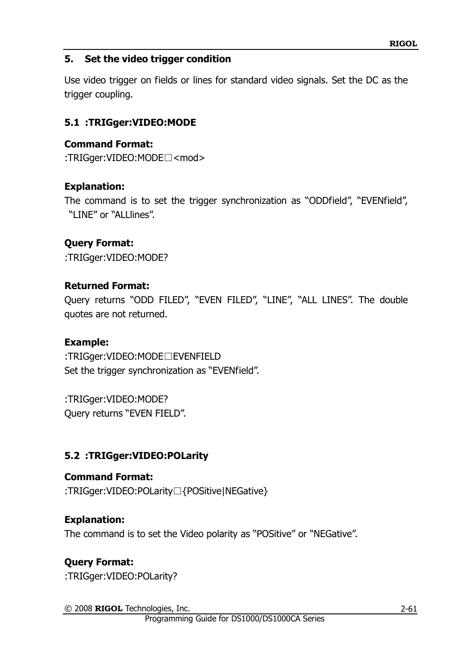### **5. Set the video trigger condition**

Use video trigger on fields or lines for standard video signals. Set the DC as the trigger coupling.

## **5.1 :TRIGger:VIDEO:MODE**

#### **Command Format:**

:TRIGger:VIDEO:MODE□<mod>

#### **Explanation:**

The command is to set the trigger synchronization as "ODDfield", "EVENfield", "LINE" or "ALLlines".

### **Query Format:**

:TRIGger:VIDEO:MODE?

#### **Returned Format:**

Query returns "ODD FILED", "EVEN FILED", "LINE", "ALL LINES". The double quotes are not returned.

#### **Example:**

:TRIGger:VIDEO:MODE□EVENFIELD Set the trigger synchronization as "EVENfield".

:TRIGger:VIDEO:MODE? Query returns "EVEN FIELD".

## **5.2 :TRIGger:VIDEO:POLarity**

**Command Format:** :TRIGger:VIDEO:POLarity□{POSitive|NEGative}

#### **Explanation:**

The command is to set the Video polarity as "POSitive" or "NEGative".

## **Query Format:**

:TRIGger:VIDEO:POLarity?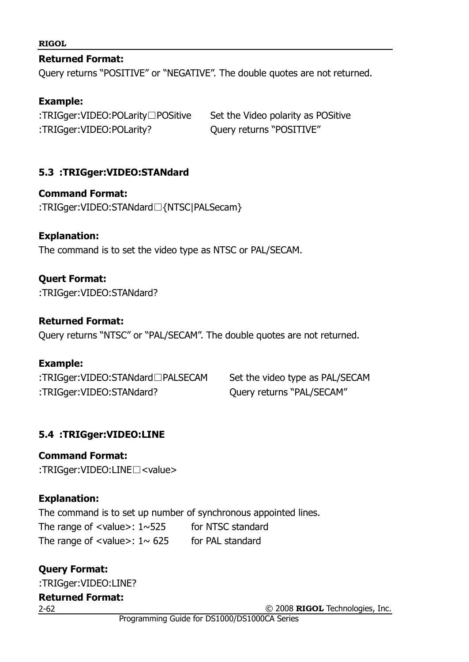**Returned Format:**

Query returns "POSITIVE" or "NEGATIVE". The double quotes are not returned.

#### **Example:**

:TRIGger:VIDEO:POLarity□POSitive Set the Video polarity as POSitive :TRIGger:VIDEO:POLarity? Query returns "POSITIVE"

### **5.3 :TRIGger:VIDEO:STANdard**

**Command Format:**

:TRIGger:VIDEO:STANdard□{NTSC|PALSecam}

#### **Explanation:**

The command is to set the video type as NTSC or PAL/SECAM.

### **Quert Format:**

:TRIGger:VIDEO:STANdard?

#### **Returned Format:**

Query returns "NTSC" or "PAL/SECAM". The double quotes are not returned.

#### **Example:**

:TRIGger:VIDEO:STANdard□PALSECAM Set the video type as PAL/SECAM :TRIGger:VIDEO:STANdard? Query returns "PAL/SECAM"

## **5.4 :TRIGger:VIDEO:LINE**

**Command Format:** :TRIGger:VIDEO:LINE□<value>

## **Explanation:**

The command is to set up number of synchronous appointed lines. The range of  $\langle$ value $\rangle$ : 1~525 for NTSC standard The range of  $\langle$ value $>$ : 1 $\sim$  625 for PAL standard

### 2-62 **Query Format:** :TRIGger:VIDEO:LINE? **Returned Format:**

© 2008 **RIGOL** Technologies, Inc.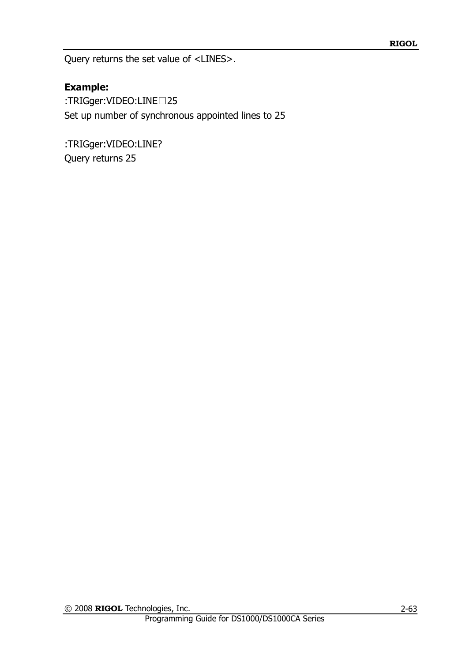Query returns the set value of <LINES>.

## **Example:**

:TRIGger:VIDEO:LINE□25 Set up number of synchronous appointed lines to 25

:TRIGger:VIDEO:LINE? Query returns 25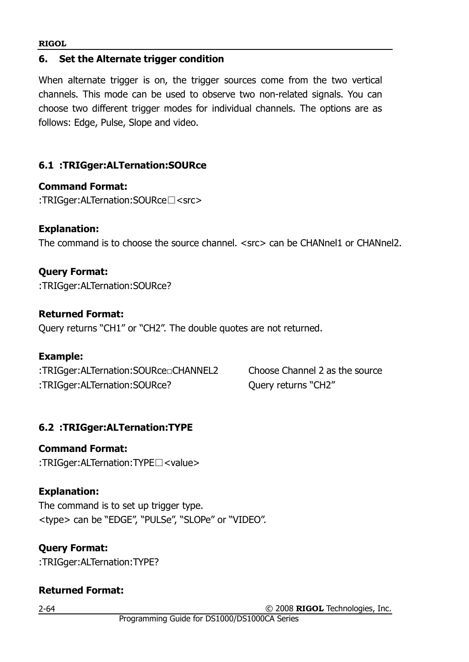#### **6. Set the Alternate trigger condition**

When alternate trigger is on, the trigger sources come from the two vertical channels. This mode can be used to observe two non-related signals. You can choose two different trigger modes for individual channels. The options are as follows: Edge, Pulse, Slope and video.

### **6.1 :TRIGger:ALTernation:SOURce**

#### **Command Format:**

:TRIGger:ALTernation:SOURce□<src>

#### **Explanation:**

The command is to choose the source channel. <src> can be CHANnel1 or CHANnel2.

#### **Query Format:**

:TRIGger:ALTernation:SOURce?

#### **Returned Format:**

Query returns "CH1" or "CH2". The double quotes are not returned.

#### **Example:**

:TRIGger:ALTernation:SOURce□CHANNEL2 Choose Channel 2 as the source :TRIGger:ALTernation:SOURce? Query returns "CH2"

## **6.2 :TRIGger:ALTernation:TYPE**

**Command Format:** :TRIGger:ALTernation:TYPE□<value>

#### **Explanation:**

The command is to set up trigger type. <type> can be "EDGE", "PULSe", "SLOPe" or "VIDEO".

#### **Query Format:**

:TRIGger:ALTernation:TYPE?

#### **Returned Format:**

2-64

© 2008 **RIGOL** Technologies, Inc.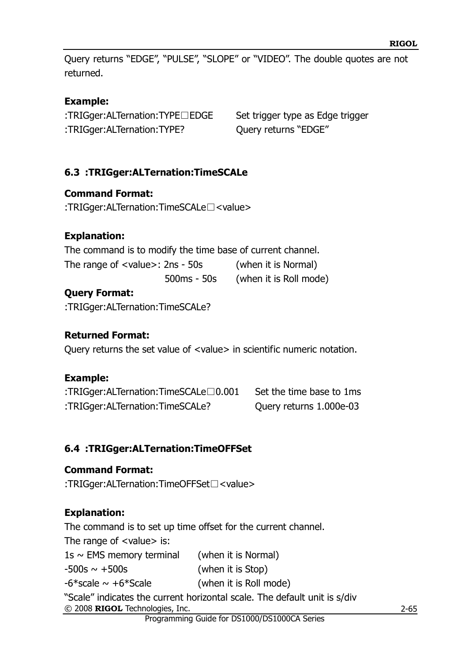Query returns "EDGE", "PULSE", "SLOPE" or "VIDEO". The double quotes are not returned.

## **Example:**

:TRIGger:ALTernation:TYPE□EDGE Set trigger type as Edge trigger :TRIGger:ALTernation:TYPE? Query returns "EDGE"

## <span id="page-72-1"></span>**6.3 :TRIGger:ALTernation:TimeSCALe**

## **Command Format:**

:TRIGger:ALTernation:TimeSCALe□<value>

## **Explanation:**

The command is to modify the time base of current channel. The range of <value>: 2ns - 50s (when it is Normal) 500ms - 50s (when it is Roll mode)

## **Query Format:**

:TRIGger:ALTernation:TimeSCALe?

## **Returned Format:**

Query returns the set value of <value> in scientific numeric notation.

## **Example:**

| :TRIGger:ALTernation:TimeSCALe $\Box$ 0.001 | Set the time base to 1ms |
|---------------------------------------------|--------------------------|
| :TRIGger:ALTernation:TimeSCALe?             | Query returns 1.000e-03  |

## <span id="page-72-0"></span>**6.4 :TRIGger:ALTernation:TimeOFFSet**

## **Command Format:**

:TRIGger:ALTernation:TimeOFFSet□<value>

## **Explanation:**

The command is to set up time offset for the current channel.

The range of <value> is:

 $1s \sim EMS$  memory terminal (when it is Normal)

 $-500s \sim +500s$  (when it is Stop)

 $-6*$ scale  $\sim +6*$ Scale (when it is Roll mode)

© 2008 **RIGOL** Technologies, Inc. "Scale" indicates the current horizontal scale. The default unit is s/div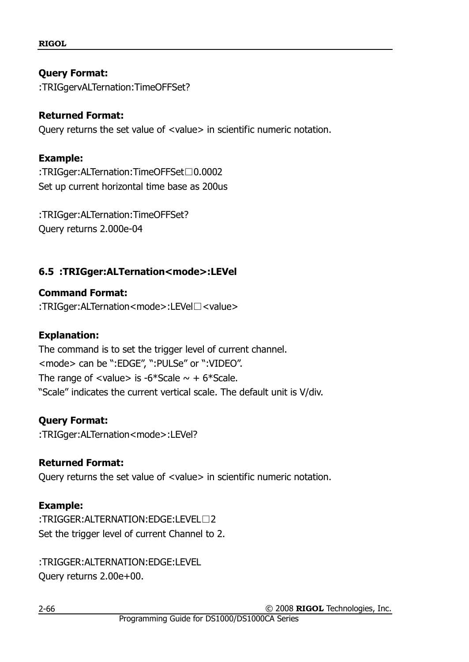#### **Query Format:**

:TRIGgervALTernation:TimeOFFSet?

#### **Returned Format:**

Query returns the set value of <value> in scientific numeric notation.

#### **Example:**

:TRIGger:ALTernation:TimeOFFSet□0.0002 Set up current horizontal time base as 200us

:TRIGger:ALTernation:TimeOFFSet? Query returns 2.000e-04

#### <span id="page-73-0"></span>**6.5 :TRIGger:ALTernation<mode>:LEVel**

**Command Format:** :TRIGger:ALTernation<mode>:LEVel□<value>

#### **Explanation:**

The command is to set the trigger level of current channel. <mode> can be ":EDGE", ":PULSe" or ":VIDEO". The range of  $\langle$ value $\rangle$  is -6\*Scale  $\sim$  + 6\*Scale. "Scale" indicates the current vertical scale. The default unit is V/div.

#### **Query Format:**

:TRIGger:ALTernation<mode>:LEVel?

#### **Returned Format:**

Query returns the set value of <value> in scientific numeric notation.

#### **Example:**

:TRIGGER:ALTERNATION:EDGE:LEVEL□2 Set the trigger level of current Channel to 2.

:TRIGGER:ALTERNATION:EDGE:LEVEL Query returns 2.00e+00.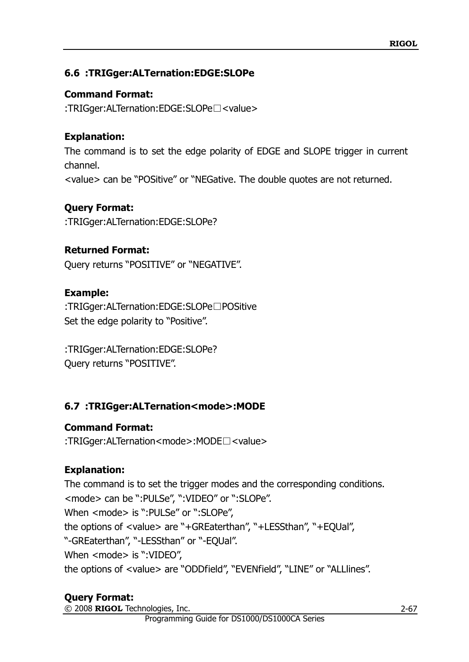## <span id="page-74-0"></span>**6.6 :TRIGger:ALTernation:EDGE:SLOPe**

## **Command Format:**

:TRIGger:ALTernation:EDGE:SLOPe□<value>

## **Explanation:**

The command is to set the edge polarity of EDGE and SLOPE trigger in current channel. <value> can be "POSitive" or "NEGative. The double quotes are not returned.

## **Query Format:**

:TRIGger:ALTernation:EDGE:SLOPe?

## **Returned Format:**

Query returns "POSITIVE" or "NEGATIVE".

## **Example:**

:TRIGger:ALTernation:EDGE:SLOPe□POSitive Set the edge polarity to "Positive".

:TRIGger:ALTernation:EDGE:SLOPe? Query returns "POSITIVE".

## <span id="page-74-1"></span>**6.7 :TRIGger:ALTernation<mode>:MODE**

## **Command Format:**

:TRIGger:ALTernation<mode>:MODE□<value>

## **Explanation:**

The command is to set the trigger modes and the corresponding conditions. <mode> can be ":PULSe", ":VIDEO" or ":SLOPe". When <mode> is ":PULSe" or ":SLOPe", the options of <value> are "+GREaterthan", "+LESSthan", "+EQUal", "-GREaterthan", "-LESSthan" or "-EQUal". When <mode> is ":VIDEO", the options of <value> are "ODDfield", "EVENfield", "LINE" or "ALLlines".

## **Query Format:**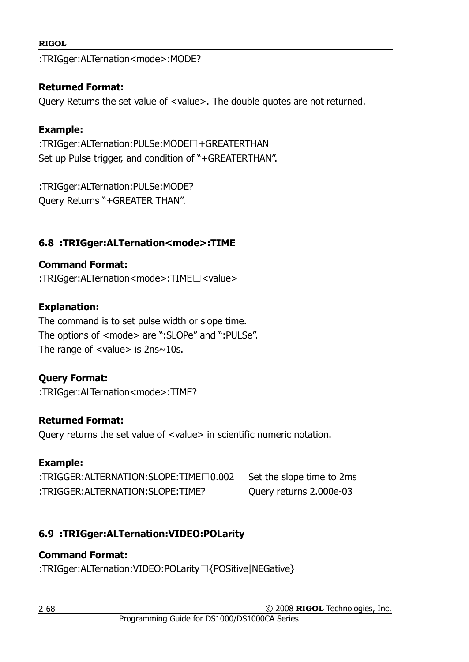:TRIGger:ALTernation<mode>:MODE?

#### **Returned Format:**

Query Returns the set value of <value>. The double quotes are not returned.

#### **Example:**

:TRIGger:ALTernation:PULSe:MODE□+GREATERTHAN Set up Pulse trigger, and condition of "+GREATERTHAN".

:TRIGger:ALTernation:PULSe:MODE? Query Returns "+GREATER THAN".

## <span id="page-75-1"></span>**6.8 :TRIGger:ALTernation<mode>:TIME**

#### **Command Format:**

:TRIGger:ALTernation<mode>:TIME□<value>

#### **Explanation:**

The command is to set pulse width or slope time. The options of <mode> are ":SLOPe" and ":PULSe". The range of  $\langle$ value $>$  is  $2$ ns $\sim$ 10s.

#### **Query Format:**

:TRIGger:ALTernation<mode>:TIME?

#### **Returned Format:**

Query returns the set value of <value> in scientific numeric notation.

#### **Example:**

:TRIGGER:ALTERNATION:SLOPE:TIME□0.002 Set the slope time to 2ms :TRIGGER:ALTERNATION:SLOPE:TIME? Query returns 2.000e-03

## <span id="page-75-0"></span>**6.9 :TRIGger:ALTernation:VIDEO:POLarity**

#### **Command Format:**

:TRIGger:ALTernation:VIDEO:POLarity□{POSitive|NEGative}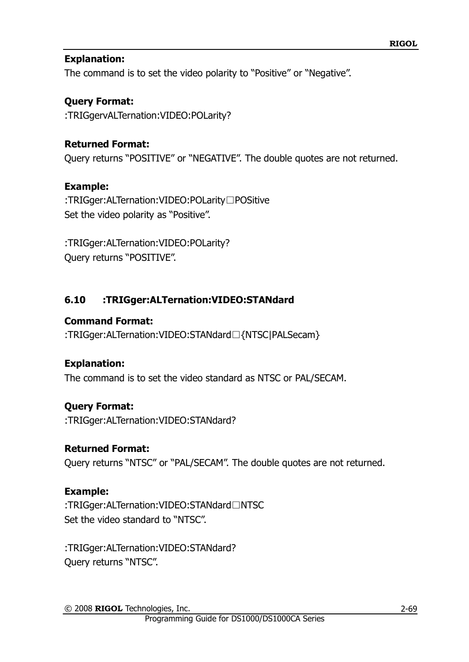#### **Explanation:**

The command is to set the video polarity to "Positive" or "Negative".

## **Query Format:**

:TRIGgervALTernation:VIDEO:POLarity?

## **Returned Format:**

Query returns "POSITIVE" or "NEGATIVE". The double quotes are not returned.

#### **Example:**

:TRIGger:ALTernation:VIDEO:POLarity□POSitive Set the video polarity as "Positive".

:TRIGger:ALTernation:VIDEO:POLarity? Query returns "POSITIVE".

## <span id="page-76-0"></span>**6.10 :TRIGger:ALTernation:VIDEO:STANdard**

#### **Command Format:**

:TRIGger:ALTernation:VIDEO:STANdard□{NTSC|PALSecam}

## **Explanation:**

The command is to set the video standard as NTSC or PAL/SECAM.

## **Query Format:**

:TRIGger:ALTernation:VIDEO:STANdard?

## **Returned Format:**

Query returns "NTSC" or "PAL/SECAM". The double quotes are not returned.

## **Example:**

:TRIGger:ALTernation:VIDEO:STANdard□NTSC Set the video standard to "NTSC".

:TRIGger:ALTernation:VIDEO:STANdard? Query returns "NTSC".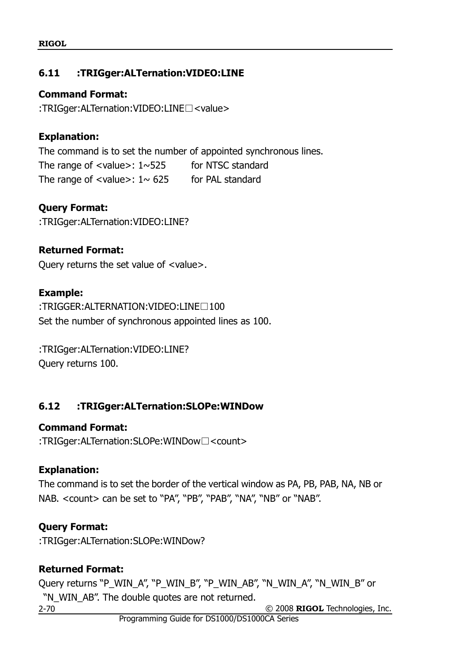## <span id="page-77-1"></span>**6.11 :TRIGger:ALTernation:VIDEO:LINE**

**Command Format:**

:TRIGger:ALTernation:VIDEO:LINE□<value>

## **Explanation:**

The command is to set the number of appointed synchronous lines. The range of  $\langle$ value $\rangle$ : 1 $\sim$ 525 for NTSC standard The range of  $\langle$ value>: 1 $\sim$  625 for PAL standard

**Query Format:**

:TRIGger:ALTernation:VIDEO:LINE?

#### **Returned Format:**

Query returns the set value of <value>.

#### **Example:**

:TRIGGER:ALTERNATION:VIDEO:LINE□100 Set the number of synchronous appointed lines as 100.

:TRIGger:ALTernation:VIDEO:LINE? Query returns 100.

## <span id="page-77-0"></span>**6.12 :TRIGger:ALTernation:SLOPe:WINDow**

#### **Command Format:**

:TRIGger:ALTernation:SLOPe:WINDow□<count>

## **Explanation:**

The command is to set the border of the vertical window as PA, PB, PAB, NA, NB or NAB. < count > can be set to "PA", "PB", "PAB", "NA", "NB" or "NAB".

## **Query Format:**

:TRIGger:ALTernation:SLOPe:WINDow?

## **Returned Format:**

Query returns "P\_WIN\_A", "P\_WIN\_B", "P\_WIN\_AB", "N\_WIN\_A", "N\_WIN\_B" or "N\_WIN\_AB". The double quotes are not returned.

2-70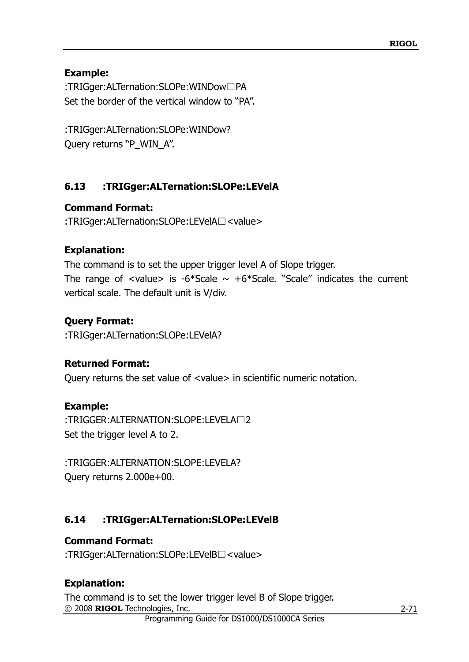#### **Example:**

:TRIGger:ALTernation:SLOPe:WINDow□PA Set the border of the vertical window to "PA".

:TRIGger:ALTernation:SLOPe:WINDow? Query returns "P\_WIN\_A".

## <span id="page-78-0"></span>**6.13 :TRIGger:ALTernation:SLOPe:LEVelA**

## **Command Format:**

:TRIGger:ALTernation:SLOPe:LEVelA□<value>

## **Explanation:**

The command is to set the upper trigger level A of Slope trigger. The range of <value> is -6\*Scale  $\sim$  +6\*Scale. "Scale" indicates the current vertical scale. The default unit is V/div.

## **Query Format:**

:TRIGger:ALTernation:SLOPe:LEVelA?

## **Returned Format:**

Query returns the set value of <value> in scientific numeric notation.

## **Example:**

:TRIGGER:ALTERNATION:SLOPE:LEVELA□2 Set the trigger level A to 2.

:TRIGGER:ALTERNATION:SLOPE:LEVELA? Query returns 2.000e+00.

## <span id="page-78-1"></span>**6.14 :TRIGger:ALTernation:SLOPe:LEVelB**

## **Command Format:**

:TRIGger:ALTernation:SLOPe:LEVelB□<value>

## **Explanation:**

© 2008 **RIGOL** Technologies, Inc. The command is to set the lower trigger level B of Slope trigger.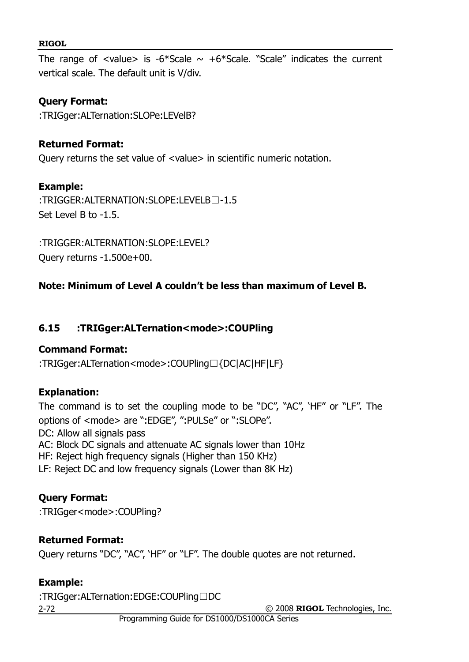The range of  $\langle$ value> is -6\*Scale  $\sim$  +6\*Scale. "Scale" indicates the current vertical scale. The default unit is V/div.

#### **Query Format:**

:TRIGger:ALTernation:SLOPe:LEVelB?

#### **Returned Format:**

Query returns the set value of <value> in scientific numeric notation.

#### **Example:**

:TRIGGER: ALTERNATION: SLOPE: LEVELB□-1.5 Set Level B to -1.5.

:TRIGGER:ALTERNATION:SLOPE:LEVEL? Query returns -1.500e+00.

#### **Note: Minimum of Level A couldn't be less than maximum of Level B.**

#### <span id="page-79-0"></span>**6.15 :TRIGger:ALTernation<mode>:COUPling**

#### **Command Format:**

:TRIGger:ALTernation<mode>:COUPling□{DC|AC|HF|LF}

#### **Explanation:**

The command is to set the coupling mode to be "DC", "AC", "HF" or "LF". The options of <mode> are ":EDGE", ":PULSe" or ":SLOPe". DC: Allow all signals pass AC: Block DC signals and attenuate AC signals lower than 10Hz HF: Reject high frequency signals (Higher than 150 KHz) LF: Reject DC and low frequency signals (Lower than 8K Hz)

#### **Query Format:**

:TRIGger<mode>:COUPling?

#### **Returned Format:**

Query returns "DC", "AC", "HF" or "LF". The double quotes are not returned.

#### **Example:**

:TRIGger:ALTernation:EDGE:COUPling□DC

2-72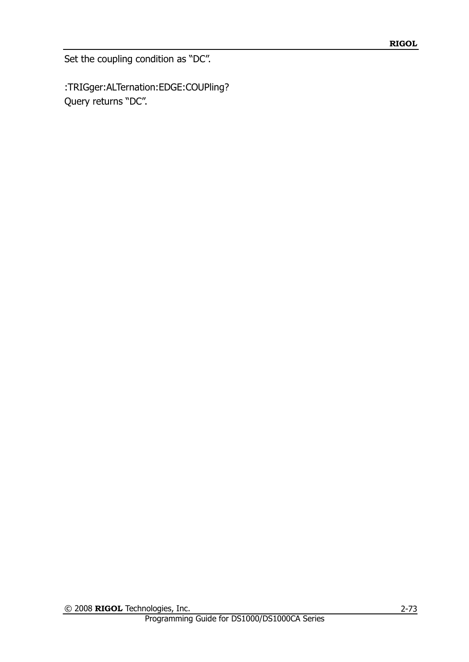Set the coupling condition as "DC".

:TRIGger:ALTernation:EDGE:COUPling? Query returns "DC".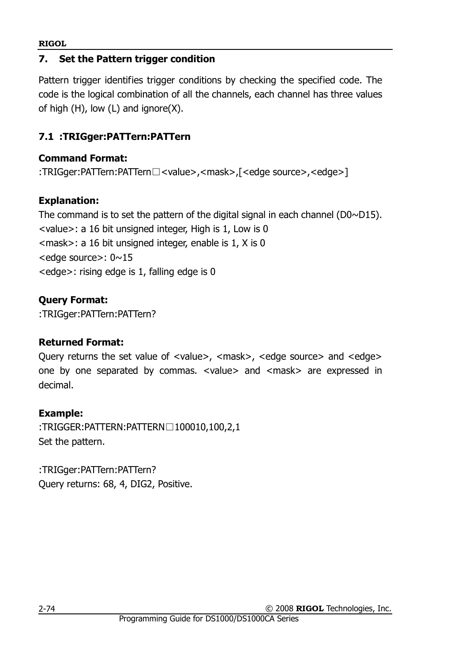#### **7. Set the Pattern trigger condition**

Pattern trigger identifies trigger conditions by checking the specified code. The code is the logical combination of all the channels, each channel has three values of high  $(H)$ , low  $(L)$  and ignore $(X)$ .

## <span id="page-81-0"></span>**7.1 :TRIGger:PATTern:PATTern**

#### **Command Format:**

:TRIGger:PATTern:PATTern□<value>,<mask>,[<edge source>,<edge>]

## **Explanation:**

The command is to set the pattern of the digital signal in each channel ( $D0~15$ ). <value>: a 16 bit unsigned integer, High is 1, Low is 0 <mask>: a 16 bit unsigned integer, enable is 1, X is 0 <edge source>: 0~15 <edge>: rising edge is 1, falling edge is 0

## **Query Format:**

:TRIGger:PATTern:PATTern?

## **Returned Format:**

Query returns the set value of <value>, <mask>, <edge source> and <edge> one by one separated by commas. <value> and <mask> are expressed in decimal.

## **Example:**

:TRIGGER:PATTERN:PATTERN□100010,100,2,1 Set the pattern.

:TRIGger:PATTern:PATTern? Query returns: 68, 4, DIG2, Positive.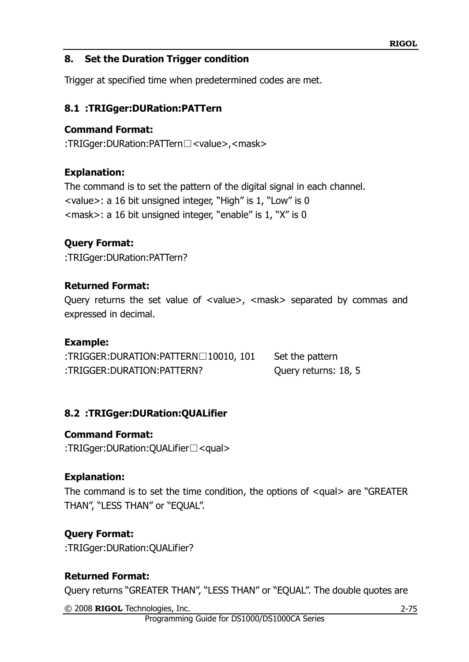#### **8. Set the Duration Trigger condition**

Trigger at specified time when predetermined codes are met.

#### <span id="page-82-0"></span>**8.1 :TRIGger:DURation:PATTern**

#### **Command Format:**

:TRIGger:DURation:PATTern□<value>,<mask>

#### **Explanation:**

The command is to set the pattern of the digital signal in each channel. <value>: a 16 bit unsigned integer, "High" is 1, "Low" is 0 <mask>: a 16 bit unsigned integer, "enable" is 1, "X" is 0

#### **Query Format:**

:TRIGger:DURation:PATTern?

#### **Returned Format:**

Query returns the set value of <value>, <mask> separated by commas and expressed in decimal.

#### **Example:**

| :TRIGGER:DURATION:PATTERN□10010, 101 | Set the pattern      |
|--------------------------------------|----------------------|
| :TRIGGER:DURATION:PATTERN?           | Query returns: 18, 5 |

#### <span id="page-82-1"></span>**8.2 :TRIGger:DURation:QUALifier**

#### **Command Format:**

:TRIGger:DURation:QUALifier□<qual>

#### **Explanation:**

The command is to set the time condition, the options of <qual> are "GREATER THAN", "LESS THAN" or "EQUAL".

## **Query Format:**

:TRIGger:DURation:QUALifier?

## **Returned Format:**

Query returns "GREATER THAN", "LESS THAN" or "EQUAL". The double quotes are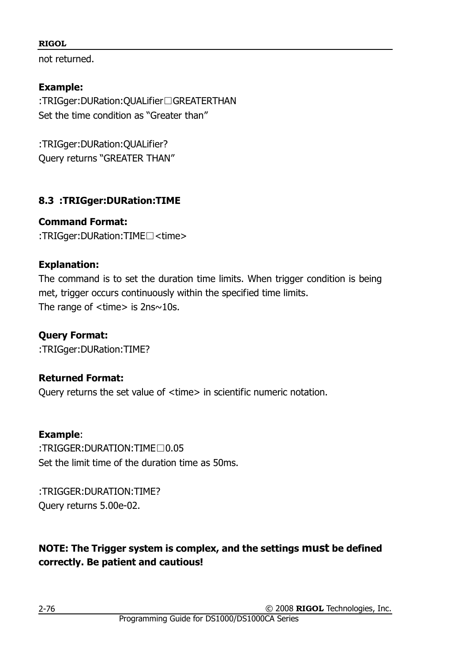not returned.

## **Example:**

:TRIGger:DURation:QUALifier□GREATERTHAN Set the time condition as "Greater than"

:TRIGger:DURation:QUALifier? Query returns "GREATER THAN"

## <span id="page-83-0"></span>**8.3 :TRIGger:DURation:TIME**

**Command Format:** :TRIGger:DURation:TIME□<time>

## **Explanation:**

The command is to set the duration time limits. When trigger condition is being met, trigger occurs continuously within the specified time limits. The range of  $\times$ time $>$  is 2ns $\sim$ 10s.

**Query Format:** :TRIGger:DURation:TIME?

# **Returned Format:**

Query returns the set value of <time> in scientific numeric notation.

## **Example**:

:TRIGGER:DURATION:TIME□0.05 Set the limit time of the duration time as 50ms.

:TRIGGER:DURATION:TIME? Query returns 5.00e-02.

## **NOTE: The Trigger system is complex, and the settings must be defined correctly. Be patient and cautious!**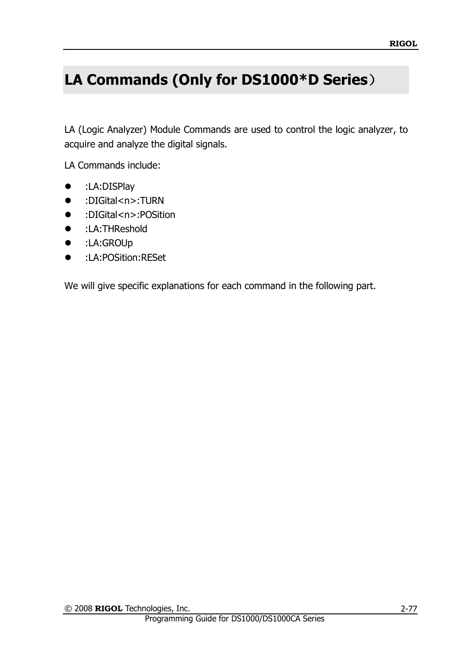# **LA Commands (Only for DS1000\*D Series**)

LA (Logic Analyzer) Module Commands are used to control the logic analyzer, to acquire and analyze the digital signals.

LA Commands include:

- :LA:DISPlay
- :DIGital<n>:TURN
- :DIGital<n>:POSition
- **•** :LA:THReshold
- :LA:GROUp
- :LA:POSition:RESet

We will give specific explanations for each command in the following part.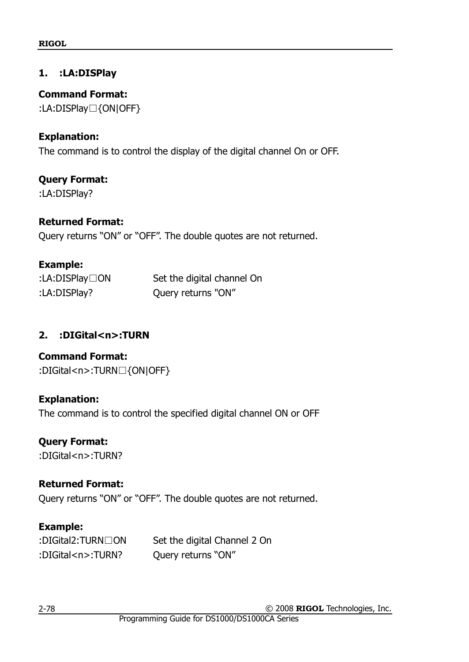## <span id="page-85-1"></span>**1. :LA:DISPlay**

**Command Format:** :LA:DISPlay□{ON|OFF}

#### **Explanation:**

The command is to control the display of the digital channel On or OFF.

## **Query Format:**

:LA:DISPlay?

#### **Returned Format:**

Query returns "ON" or "OFF". The double quotes are not returned.

#### **Example:**

| :LA:DISPlay $\Box$ ON | Set the digital channel On |
|-----------------------|----------------------------|
| :LA:DISPlay?          | Query returns "ON"         |

## <span id="page-85-0"></span>**2. :DIGital<n>:TURN**

# **Command Format:**

:DIGital<n>:TURN□{ON|OFF}

## **Explanation:**

The command is to control the specified digital channel ON or OFF

## **Query Format:**

:DIGital<n>:TURN?

## **Returned Format:**

Query returns "ON" or "OFF". The double quotes are not returned.

## **Example:**

| :DIGital2:TURN□ON      | Set the digital Channel 2 On |
|------------------------|------------------------------|
| :DIGital <n>:TURN?</n> | Query returns "ON"           |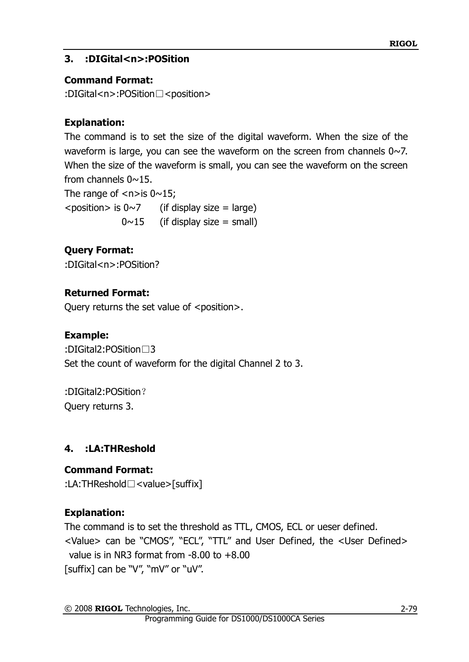## <span id="page-86-0"></span>**3. :DIGital<n>:POSition**

## **Command Format:**

:DIGital<n>:POSition□<position>

## **Explanation:**

The command is to set the size of the digital waveform. When the size of the waveform is large, you can see the waveform on the screen from channels  $0 \sim 7$ . When the size of the waveform is small, you can see the waveform on the screen from channels  $0 \sim 15$ .

The range of  $\langle n \rangle$  is 0 $\sim$ 15;  $\epsilon$  > position > is 0~7 (if display size = large)  $0 \sim 15$  (if display size = small)

## **Query Format:**

:DIGital<n>:POSition?

## **Returned Format:**

Query returns the set value of <position>.

## **Example:**

:DIGital2:POSition□3 Set the count of waveform for the digital Channel 2 to 3.

:DIGital2:POSition? Query returns 3.

## <span id="page-86-1"></span>**4. :LA:THReshold**

## **Command Format:**

:LA:THReshold□<value>[suffix]

## **Explanation:**

The command is to set the threshold as TTL, CMOS, ECL or ueser defined. <Value> can be "CMOS", "ECL", "TTL" and User Defined, the <User Defined> value is in NR3 format from  $-8.00$  to  $+8.00$ [suffix] can be "V", "mV" or "uV".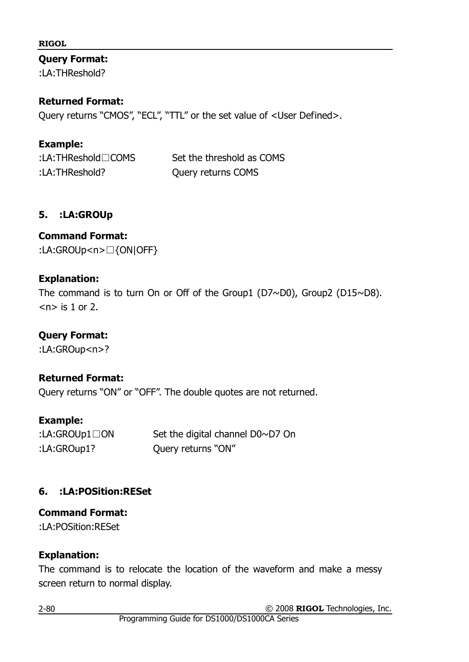#### **Query Format:**

:LA:THReshold?

#### **Returned Format:**

Query returns "CMOS", "ECL", "TTL" or the set value of <User Defined>.

## **Example:**

| :LA:THReshold $\square$ COMS | Set the threshold as COMS |
|------------------------------|---------------------------|
| :LA:THReshold?               | Query returns COMS        |

## <span id="page-87-0"></span>**5. :LA:GROUp**

# **Command Format:**

:LA:GROUp<n>□{ON|OFF}

## **Explanation:**

The command is to turn On or Off of the Group1 (D7~D0), Group2 (D15~D8).  $<sub>n</sub>$  is 1 or 2.</sub>

## **Query Format:**

:LA:GROup<n>?

## **Returned Format:**

Query returns "ON" or "OFF". The double quotes are not returned.

## **Example:**

| :LA:GROUp1 $\Box$ ON | Set the digital channel D0~D7 On |
|----------------------|----------------------------------|
| :LA:GROup1?          | Query returns "ON"               |

## <span id="page-87-1"></span>**6. :LA:POSition:RESet**

## **Command Format:**

:LA:POSition:RESet

## **Explanation:**

The command is to relocate the location of the waveform and make a messy screen return to normal display.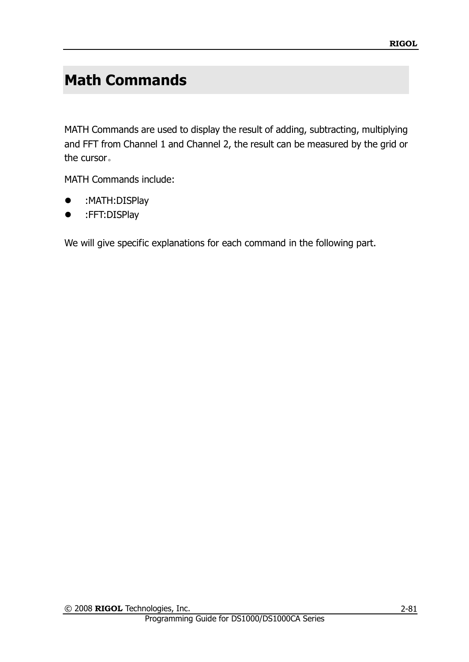# **Math Commands**

MATH Commands are used to display the result of adding, subtracting, multiplying and FFT from Channel 1 and Channel 2, the result can be measured by the grid or the cursor。

MATH Commands include:

- :MATH:DISPlay
- :FFT:DISPlay

We will give specific explanations for each command in the following part.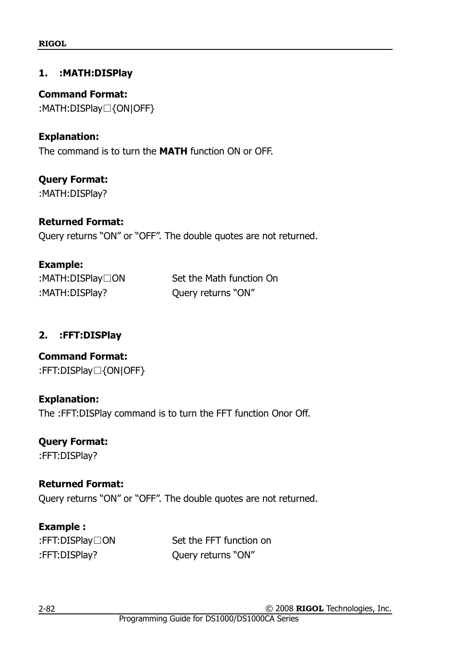### <span id="page-89-1"></span>**1. :MATH:DISPlay**

**Command Format:** :MATH:DISPlay□{ON|OFF}

#### **Explanation:**

The command is to turn the **MATH** function ON or OFF.

**Query Format:** :MATH:DISPlay?

**Example:**

#### **Returned Format:**

Query returns "ON" or "OFF". The double quotes are not returned.

| Example:                |                          |
|-------------------------|--------------------------|
| :MATH:DISPlay $\Box$ ON | Set the Math function On |
| :MATH:DISPlay?          | Query returns "ON"       |

## <span id="page-89-0"></span>**2. :FFT:DISPlay**

**Command Format:** :FFT:DISPlay□{ON|OFF}

#### **Explanation:**

The :FFT:DISPlay command is to turn the FFT function Onor Off.

# **Query Format:**

:FFT:DISPlay?

## **Returned Format:**

Query returns "ON" or "OFF". The double quotes are not returned.

## **Example :**

:FFT:DISPlay□ON Set the FFT function on :FFT:DISPlay? Query returns "ON"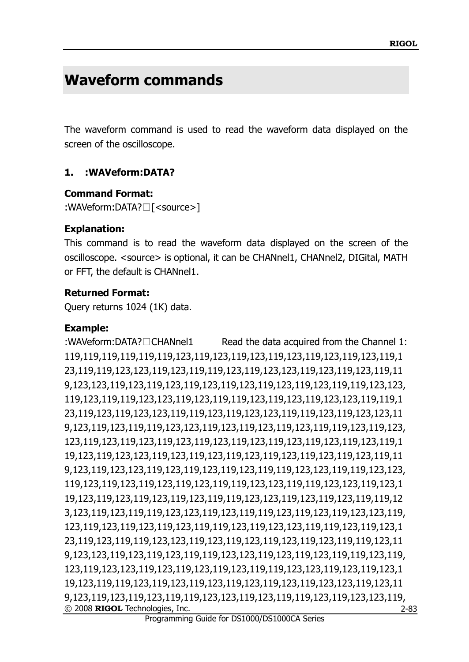# **Waveform commands**

The waveform command is used to read the waveform data displayed on the screen of the oscilloscope.

## <span id="page-90-0"></span>**1. :WAVeform:DATA?**

#### **Command Format:**

:WAVeform:DATA?□[<source>]

#### **Explanation:**

This command is to read the waveform data displayed on the screen of the oscilloscope. <source> is optional, it can be CHANnel1, CHANnel2, DIGital, MATH or FFT, the default is CHANnel1.

#### **Returned Format:**

Query returns 1024 (1K) data.

#### **Example:**

© 2008 **RIGOL** Technologies, Inc. :WAVeform:DATA?□CHANnel1 Read the data acquired from the Channel 1: 119,119,119,119,119,119,123,119,123,119,123,119,123,119,123,119,123,119,1 23,119,119,123,123,119,123,119,119,123,119,123,123,119,123,119,123,119,11 9,123,123,119,123,119,123,119,123,119,123,119,123,119,123,119,119,123,123, 119,123,119,119,123,123,119,123,119,119,123,119,123,119,123,123,119,119,1 23,119,123,119,123,123,119,119,123,119,123,123,119,119,123,119,123,123,11 9,123,119,123,119,119,123,123,119,123,119,123,119,123,119,119,123,119,123, 123,119,123,119,123,119,123,119,123,119,123,119,123,119,123,119,123,119,1 19,123,119,123,123,119,123,119,123,119,123,119,123,119,123,119,123,119,11 9,123,119,123,123,119,123,119,123,119,123,119,119,123,123,119,119,123,123, 119,123,119,123,119,123,119,123,119,119,123,123,119,119,123,123,119,123,1 19,123,119,123,119,123,119,123,119,119,123,123,119,123,119,123,119,119,12 3,123,119,123,119,119,123,123,119,123,119,119,123,119,123,119,123,123,119, 123,119,123,119,123,119,123,119,119,123,119,123,123,119,119,123,119,123,1 23,119,123,119,119,123,123,119,123,119,123,119,123,119,123,119,119,123,11 9,123,123,119,123,119,123,119,119,123,123,119,123,119,123,119,119,123,119, 123,119,123,123,119,123,119,123,119,123,119,119,123,123,119,123,119,123,1 19,123,119,119,123,119,123,119,123,119,123,119,123,119,123,123,119,123,11 9,123,119,123,119,123,119,119,123,123,119,123,119,119,123,119,123,123,119,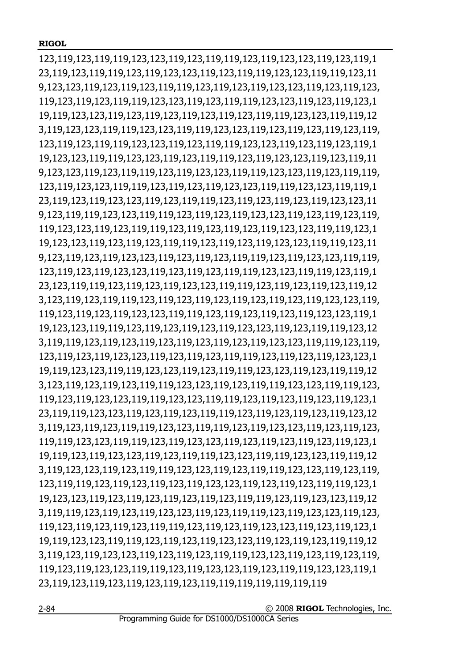123,119,123,119,119,123,123,119,123,119,119,123,119,123,123,119,123,119,1 23,119,123,119,119,123,119,123,123,119,123,119,119,123,123,119,119,123,11 9,123,123,119,123,119,123,119,119,123,119,123,119,123,123,119,123,119,123, 119,123,119,123,119,119,123,123,119,123,119,119,123,123,119,123,119,123,1 19,119,123,123,119,123,119,123,119,123,119,123,119,119,123,123,119,119,12 3,119,123,123,119,119,123,123,119,119,123,123,119,123,119,123,119,123,119, 123,119,123,119,119,123,123,119,123,119,119,123,123,119,123,119,123,119,1 19,123,123,119,119,123,123,119,123,119,119,123,119,123,123,119,123,119,11 9,123,123,119,123,119,119,123,119,123,123,119,119,123,123,119,123,119,119, 123,119,123,123,119,119,123,119,123,119,123,123,119,119,123,123,119,119,1 23,119,123,119,123,123,119,123,119,119,123,119,123,119,123,119,123,123,11 9,123,119,119,123,123,119,119,123,119,123,119,123,123,119,123,119,123,119, 119,123,123,119,123,119,119,123,119,123,119,123,119,123,123,119,119,123,1 19,123,123,119,123,119,123,119,119,123,119,123,119,123,123,119,119,123,11 9,123,119,123,119,123,123,119,123,119,123,119,119,123,119,123,123,119,119, 123,119,123,119,123,123,119,123,119,123,119,119,123,123,119,119,123,119,1 23,123,119,119,123,119,123,119,123,123,119,119,123,119,123,119,123,119,12 3,123,119,123,119,119,123,119,123,119,123,119,123,119,123,119,123,123,119, 119,123,119,123,119,123,123,119,119,123,119,123,119,123,119,123,123,119,1 19,123,123,119,119,123,119,123,119,123,119,123,123,119,123,119,119,123,12 3,119,119,123,119,123,119,123,119,123,119,123,119,123,123,119,119,123,119, 123,119,123,119,123,123,119,123,119,123,119,119,123,119,123,119,123,123,1 19,119,123,123,119,119,123,123,119,123,119,119,123,123,119,123,119,119,12 3,123,119,123,119,123,119,119,123,123,119,123,119,119,123,123,119,119,123, 119,123,119,123,123,119,119,123,123,119,119,123,119,123,119,123,119,123,1 23,119,119,123,123,119,123,119,123,119,119,123,119,123,119,123,119,123,12 3,119,123,119,123,119,119,123,123,119,119,123,119,123,123,119,123,119,123, 119,119,123,123,119,119,123,119,123,123,119,123,119,123,119,123,119,123,1 19,119,123,119,123,123,119,123,119,119,123,123,119,119,123,123,119,119,12 3,119,123,123,119,123,119,119,123,123,119,123,119,119,123,123,119,123,119, 123,119,119,123,119,123,119,123,119,123,123,119,123,119,123,119,119,123,1 19,123,123,119,123,119,123,119,123,119,123,119,119,123,119,123,123,119,12 3,119,119,123,119,123,119,123,123,119,123,119,119,123,119,123,123,119,123, 119,123,119,123,119,123,119,119,123,119,123,119,123,123,119,123,119,123,1 19,119,123,123,119,119,123,119,123,119,123,123,119,123,119,123,119,119,12 3,119,123,119,123,123,119,123,119,123,119,119,123,123,119,123,119,123,119, 119,123,119,123,123,119,119,123,119,123,123,119,123,119,119,123,123,119,1 23,119,123,119,123,119,123,119,123,119,119,119,119,119,119,119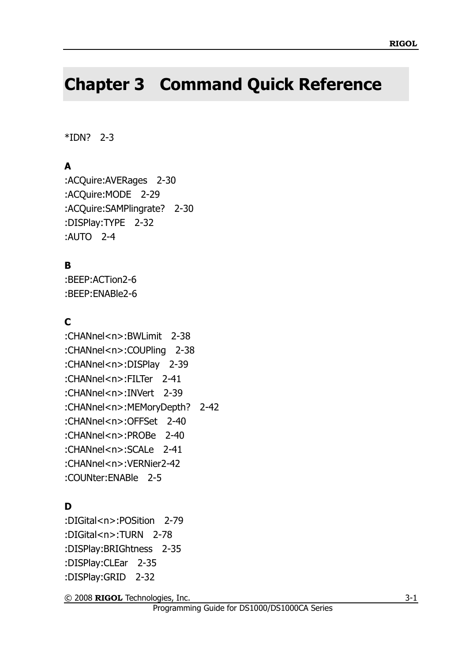# **Chapter 3 Command Quick Reference**

#### [\\*IDN? 2-3](#page-10-0)

## **A**

[:ACQuire:AVERages 2-30](#page-37-0) [:ACQuire:MODE 2-29](#page-36-0) [:ACQuire:SAMPlingrate? 2-30](#page-37-1) [:DISPlay:TYPE 2-32](#page-39-0) [:AUTO 2-4](#page-11-0)

## **B**

[:BEEP:ACTion2-6](#page-13-0) [:BEEP:ENABle2-6](#page-13-1)

## **C**

[:CHANnel<n>:BWLimit 2-38](#page-45-0) [:CHANnel<n>:COUPling 2-38](#page-45-1) [:CHANnel<n>:DISPlay 2-39](#page-46-0) [:CHANnel<n>:FILTer 2-41](#page-48-0) [:CHANnel<n>:INVert 2-39](#page-46-1) [:CHANnel<n>:MEMoryDepth? 2-42](#page-49-0) [:CHANnel<n>:OFFSet 2-40](#page-47-0) [:CHANnel<n>:PROBe 2-40](#page-47-1) [:CHANnel<n>:SCALe 2-41](#page-48-1) [:CHANnel<n>:VERNier2-42](#page-49-1) [:COUNter:ENABle 2-5](#page-12-0)

## **D**

[:DIGital<n>:POSition 2-79](#page-86-0) [:DIGital<n>:TURN 2-78](#page-85-0) [:DISPlay:BRIGhtness 2-35](#page-42-0) [:DISPlay:CLEar 2-35](#page-42-1) [:DISPlay:GRID 2-32](#page-39-1)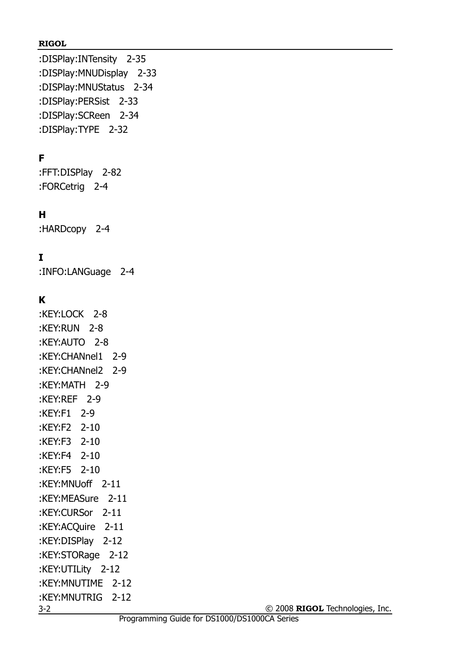[:DISPlay:INTensity 2-35](#page-42-2) [:DISPlay:MNUDisplay 2-33](#page-40-0) [:DISPlay:MNUStatus 2-34](#page-41-0)  [:DISPlay:PERSist 2-33](#page-40-1) [:DISPlay:SCReen 2-34](#page-41-1) [:DISPlay:TYPE 2-32](#page-39-0)

# **F**

[:FFT:DISPlay 2-82](#page-89-0) [:FORCetrig 2-4](#page-11-1)

## **H**

[:HARDcopy 2-4](#page-11-2)

## **I**

[:INFO:LANGuage 2-4](#page-11-3)

## **K**

3-2 [:KEY:LOCK 2-8](#page-15-0) [:KEY:RUN 2-8](#page-15-1) [:KEY:AUTO 2-8](#page-15-2) [:KEY:CHANnel1 2-9](#page-16-0) [:KEY:CHANnel2 2-9](#page-16-1) [:KEY:MATH 2-9](#page-16-2) [:KEY:REF 2-9](#page-16-3) [:KEY:F1 2-9](#page-16-4) [:KEY:F2 2-10](#page-17-0) [:KEY:F3 2-10](#page-17-1) [:KEY:F4 2-10](#page-17-2) [:KEY:F5 2-10](#page-17-3) [:KEY:MNUoff 2-11](#page-18-0) [:KEY:MEASure 2-11](#page-18-1) [:KEY:CURSor 2-11](#page-18-2) [:KEY:ACQuire 2-11](#page-18-3) [:KEY:DISPlay 2-12](#page-19-0) [:KEY:STORage 2-12](#page-19-1) [:KEY:UTILity 2-12](#page-19-2) [:KEY:MNUTIME 2-12](#page-19-3) [:KEY:MNUTRIG 2-12](#page-19-4)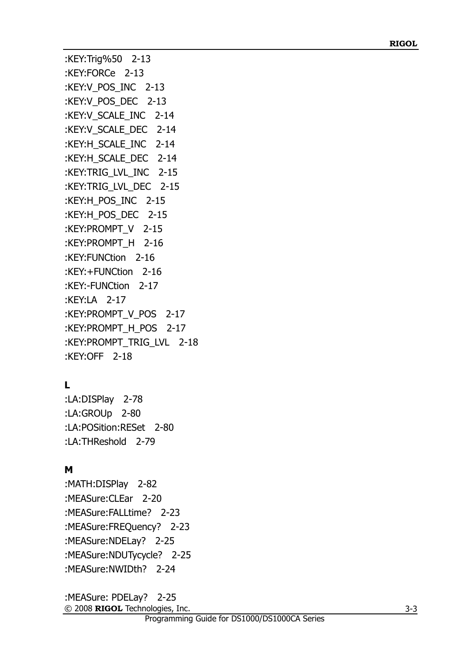```
:KEY:Trig%50 2-13
:KEY:FORCe 2-13
:KEY:V_POS_INC 2-13
:KEY:V_POS_DEC 2-13
:KEY:V_SCALE_INC 2-14
:KEY:V_SCALE_DEC 2-14
:KEY:H_SCALE_INC 2-14
:KEY:H_SCALE_DEC 2-14
:KEY:TRIG_LVL_INC 2-15
:KEY:TRIG_LVL_DEC 2-15
:KEY:H_POS_INC 2-15
:KEY:H_POS_DEC 2-15
:KEY:PROMPT_V 2-15
:KEY:PROMPT_H 2-16
:KEY:FUNCtion 2-16
:KEY:+FUNCtion 2-16
:KEY:-FUNCtion 2-17
:KEY:LA 2-17
:KEY:PROMPT_V_POS 2-17
:KEY:PROMPT_H_POS 2-17
:KEY:PROMPT_TRIG_LVL 2-18
:KEY:OFF 2-18
```
## **L**

[:LA:DISPlay 2-78](#page-85-1) [:LA:GROUp 2-80](#page-87-0) [:LA:POSition:RESet 2-80](#page-87-1) [:LA:THReshold 2-79](#page-86-1)

## **M**

[:MATH:DISPlay 2-82](#page-89-1) [:MEASure:CLEar 2-20](#page-27-0) [:MEASure:FALLtime? 2-23](#page-30-0) [:MEASure:FREQuency?](#page-30-1) [2-23](#page-30-1) [:MEASure:NDELay? 2-25](#page-32-0) [:MEASure:NDUTycycle? 2-25](#page-32-1)  [:MEASure:NWIDth? 2-24](#page-31-0)

© 2008 **RIGOL** Technologies, Inc. [:MEASure: PDELay? 2-25](#page-32-2)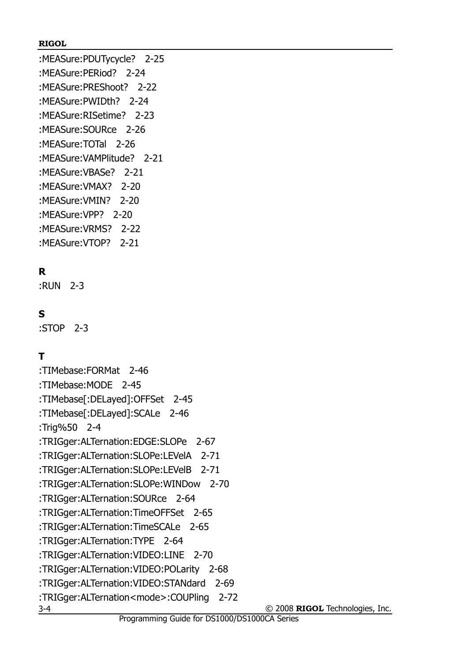[:MEASure:PDUTycycle? 2-25](#page-32-3) [:MEASure:PERiod? 2-24](#page-31-1) [:MEASure:PREShoot? 2-22](#page-29-0) [:MEASure:PWIDth? 2-24](#page-31-2) [:MEASure:RISetime? 2-23](#page-30-2) [:MEASure:SOURce 2-26](#page-33-0) [:MEASure:TOTal 2-26](#page-33-1) [:MEASure:VAMPlitude? 2-21](#page-28-0) [:MEASure:VBASe? 2-21](#page-28-1) [:MEASure:VMAX? 2-20](#page-27-1) [:MEASure:VMIN? 2-20](#page-27-2) [:MEASure:VPP? 2-20](#page-27-3) [:MEASure:VRMS? 2-22](#page-29-1) [:MEASure:VTOP? 2-21](#page-28-2)

## **R**

[:RUN 2-3](#page-10-1)

## **S**

[:STOP 2-3](#page-10-2)

## **T**

© 2008 **RIGOL** Technologies, Inc. 3-4 [:TIMebase:FORMat 2-46](#page-53-0) [:TIMebase:MODE 2-45](#page-52-0) [:TIMebase\[:DELayed\]:OFFSet 2-45](#page-52-1) [:TIMebase\[:DELayed\]:SCALe 2-46](#page-53-1) [:Trig%50 2-4](#page-11-4) [:TRIGger:ALTernation:EDGE:SLOPe 2-67](#page-74-0) [:TRIGger:ALTernation:SLOPe:LEVelA 2-71](#page-78-0) [:TRIGger:ALTernation:SLOPe:LEVelB 2-71](#page-78-1) [:TRIGger:ALTernation:SLOPe:WINDow 2-70](#page-77-0) [:TRIGger:ALTernation:SOURce 2-64](#page-71-0) [:TRIGger:ALTernation:TimeOFFSet 2-65](#page-72-0) [:TRIGger:ALTernation:TimeSCALe 2-65](#page-72-1) [:TRIGger:ALTernation:TYPE 2-64](#page-71-1) [:TRIGger:ALTernation:VIDEO:LINE 2-70](#page-77-1) [:TRIGger:ALTernation:VIDEO:POLarity 2-68](#page-75-0) [:TRIGger:ALTernation:VIDEO:STANdard 2-69](#page-76-0) [:TRIGger:ALTernation<mode>:COUPling 2-72](#page-79-0)